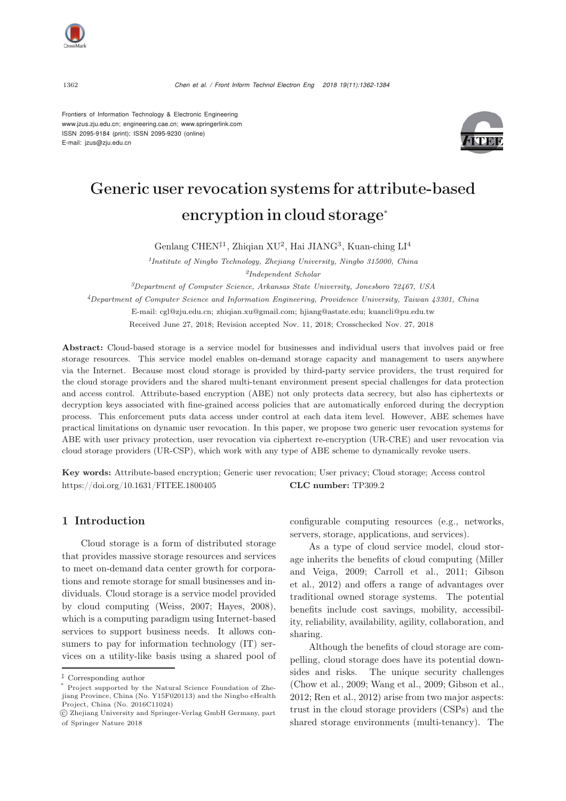

Frontiers of Information Technology & Electronic Engineering [www.jzus.zju.edu.cn;](www.jzus.zju.edu.cn) [engineering.cae.cn;](engineering.cae.cn)<www.springerlink.com> ISSN 2095-9184 (print); ISSN 2095-9230 (online) E-mail: jzus@zju.edu.cn



# Generic user revocation systems for attribute-based encryption in cloud storage<sup>∗</sup>

Genlang CHEN<sup>‡1</sup>, Zhiqian XU<sup>2</sup>, Hai JIANG<sup>3</sup>, Kuan-ching LI<sup>4</sup>

*<sup>1</sup>Institute of Ningbo Technology, Zhejiang University, Ningbo 315000, China*

*<sup>2</sup>Independent Scholar*

*<sup>3</sup>Department of Computer Science, Arkansas State University, Jonesboro 72467, USA*

*<sup>4</sup>Department of Computer Science and Information Engineering, Providence University, Taiwan 43301, China*

E-mail: cgl@zju.edu.cn; zhiqian.xu@gmail.com; hjiang@astate.edu; kuancli@pu.edu.tw

Received June 27, 2018; Revision accepted Nov. 11, 2018; Crosschecked Nov. 27, 2018

Abstract: Cloud-based storage is a service model for businesses and individual users that involves paid or free storage resources. This service model enables on-demand storage capacity and management to users anywhere via the Internet. Because most cloud storage is provided by third-party service providers, the trust required for the cloud storage providers and the shared multi-tenant environment present special challenges for data protection and access control. Attribute-based encryption (ABE) not only protects data secrecy, but also has ciphertexts or decryption keys associated with fine-grained access policies that are automatically enforced during the decryption process. This enforcement puts data access under control at each data item level. However, ABE schemes have practical limitations on dynamic user revocation. In this paper, we propose two generic user revocation systems for ABE with user privacy protection, user revocation via ciphertext re-encryption (UR-CRE) and user revocation via cloud storage providers (UR-CSP), which work with any type of ABE scheme to dynamically revoke users.

Key words: Attribute-based encryption; Generic user revocation; User privacy; Cloud storage; Access control https://doi.org/10.1631/FITEE.1800405 CLC number: TP309.2

## 1 Introduction

Cloud storage is a form of distributed storage that provides massive storage resources and services to meet on-demand data center growth for corporations and remote storage for small businesses and individuals. Cloud storage is a service model provided by cloud computing [\(Weiss, 2007;](#page-22-0) [Hayes, 2008\)](#page-21-0), which is a computing paradigm using Internet-based services to support business needs. It allows consumers to pay for information technology (IT) services on a utility-like basis using a shared pool of configurable computing resources (e.g., networks, servers, storage, applications, and services).

As a type of cloud service model, cloud storage inherit[s](#page-22-1) [the](#page-22-1) [benefits](#page-22-1) [of](#page-22-1) [cloud](#page-22-1) [computing](#page-22-1) [\(](#page-22-1)Miller and [Veiga,](#page-21-2) [2009](#page-22-1)[;](#page-21-2) [Carroll et al.](#page-21-1)[,](#page-21-2) [2011](#page-21-1)[;](#page-21-2) Gibson et al., [2012](#page-21-2)) and offers a range of advantages over traditional owned storage systems. The potential benefits include cost savings, mobility, accessibility, reliability, availability, agility, collaboration, and sharing.

Although the benefits of cloud storage are compelling, cloud storage does have its potential downsides and risks. The unique security challenges [\(Chow et al., 2009;](#page-21-3) [Wang et al.](#page-22-2), [2009](#page-22-2); [Gibson et al.](#page-21-2), [2012](#page-21-2); [Ren et al., 2012](#page-22-3)) arise from two major aspects: trust in the cloud storage providers (CSPs) and the shared storage environments (multi-tenancy). The

<sup>‡</sup> Corresponding author

<sup>\*</sup> Project supported by the Natural Science Foundation of Zhejiang Province, China (No. Y15F020113) and the Ningbo eHealth Project, China (No. 2016C11024)

c Zhejiang University and Springer-Verlag GmbH Germany, part of Springer Nature 2018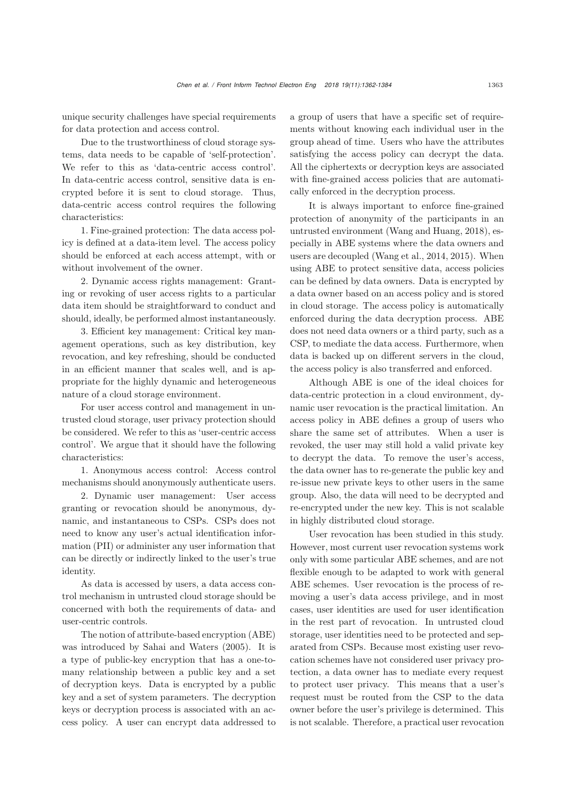unique security challenges have special requirements for data protection and access control.

Due to the trustworthiness of cloud storage systems, data needs to be capable of 'self-protection'. We refer to this as 'data-centric access control'. In data-centric access control, sensitive data is encrypted before it is sent to cloud storage. Thus, data-centric access control requires the following characteristics:

1. Fine-grained protection: The data access policy is defined at a data-item level. The access policy should be enforced at each access attempt, with or without involvement of the owner.

2. Dynamic access rights management: Granting or revoking of user access rights to a particular data item should be straightforward to conduct and should, ideally, be performed almost instantaneously.

3. Efficient key management: Critical key management operations, such as key distribution, key revocation, and key refreshing, should be conducted in an efficient manner that scales well, and is appropriate for the highly dynamic and heterogeneous nature of a cloud storage environment.

For user access control and management in untrusted cloud storage, user privacy protection should be considered. We refer to this as 'user-centric access control'. We argue that it should have the following characteristics:

1. Anonymous access control: Access control mechanisms should anonymously authenticate users.

2. Dynamic user management: User access granting or revocation should be anonymous, dynamic, and instantaneous to CSPs. CSPs does not need to know any user's actual identification information (PII) or administer any user information that can be directly or indirectly linked to the user's true identity.

As data is accessed by users, a data access control mechanism in untrusted cloud storage should be concerned with both the requirements of data- and user-centric controls.

The notion of attribute-based encryption (ABE) was introduced by [Sahai and Waters](#page-22-4) [\(2005\)](#page-22-4). It is a type of public-key encryption that has a one-tomany relationship between a public key and a set of decryption keys. Data is encrypted by a public key and a set of system parameters. The decryption keys or decryption process is associated with an access policy. A user can encrypt data addressed to

a group of users that have a specific set of requirements without knowing each individual user in the group ahead of time. Users who have the attributes satisfying the access policy can decrypt the data. All the ciphertexts or decryption keys are associated with fine-grained access policies that are automatically enforced in the decryption process.

It is always important to enforce fine-grained protection of anonymity of the participants in an untrusted environment [\(Wang and Huang](#page-22-5), [2018](#page-22-5)), especially in ABE systems where the data owners and users are decoupled [\(Wang et al.](#page-22-6), [2014,](#page-22-6) [2015](#page-22-7)). When using ABE to protect sensitive data, access policies can be defined by data owners. Data is encrypted by a data owner based on an access policy and is stored in cloud storage. The access policy is automatically enforced during the data decryption process. ABE does not need data owners or a third party, such as a CSP, to mediate the data access. Furthermore, when data is backed up on different servers in the cloud, the access policy is also transferred and enforced.

Although ABE is one of the ideal choices for data-centric protection in a cloud environment, dynamic user revocation is the practical limitation. An access policy in ABE defines a group of users who share the same set of attributes. When a user is revoked, the user may still hold a valid private key to decrypt the data. To remove the user's access, the data owner has to re-generate the public key and re-issue new private keys to other users in the same group. Also, the data will need to be decrypted and re-encrypted under the new key. This is not scalable in highly distributed cloud storage.

User revocation has been studied in this study. However, most current user revocation systems work only with some particular ABE schemes, and are not flexible enough to be adapted to work with general ABE schemes. User revocation is the process of removing a user's data access privilege, and in most cases, user identities are used for user identification in the rest part of revocation. In untrusted cloud storage, user identities need to be protected and separated from CSPs. Because most existing user revocation schemes have not considered user privacy protection, a data owner has to mediate every request to protect user privacy. This means that a user's request must be routed from the CSP to the data owner before the user's privilege is determined. This is not scalable. Therefore, a practical user revocation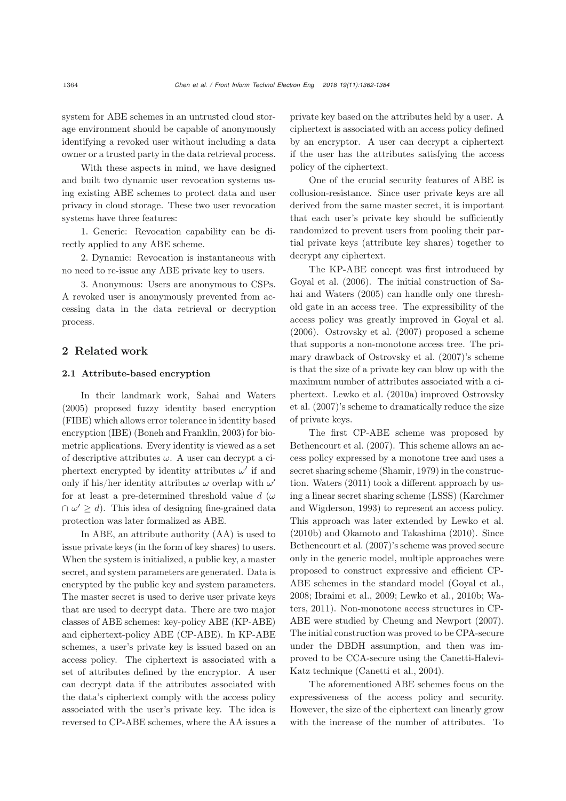system for ABE schemes in an untrusted cloud storage environment should be capable of anonymously identifying a revoked user without including a data owner or a trusted party in the data retrieval process.

With these aspects in mind, we have designed and built two dynamic user revocation systems using existing ABE schemes to protect data and user privacy in cloud storage. These two user revocation systems have three features:

1. Generic: Revocation capability can be directly applied to any ABE scheme.

2. Dynamic: Revocation is instantaneous with no need to re-issue any ABE private key to users.

3. Anonymous: Users are anonymous to CSPs. A revoked user is anonymously prevented from accessing data in the data retrieval or decryption process.

## 2 Related work

#### 2.1 Attribute-based encryption

In their landmark work, [Sahai and Waters](#page-22-4) [\(2005](#page-22-4)) proposed fuzzy identity based encryption (FIBE) which allows error tolerance in identity based encryption (IBE) [\(Boneh and Franklin, 2003\)](#page-21-4) for biometric applications. Every identity is viewed as a set of descriptive attributes  $\omega$ . A user can decrypt a ciphertext encrypted by identity attributes  $\omega'$  if and only if his/her identity attributes  $\omega$  overlap with  $\omega'$ for at least a pre-determined threshold value d  $(\omega$  $\cap$   $\omega' \geq d$ ). This idea of designing fine-grained data protection was later formalized as ABE.

In ABE, an attribute authority (AA) is used to issue private keys (in the form of key shares) to users. When the system is initialized, a public key, a master secret, and system parameters are generated. Data is encrypted by the public key and system parameters. The master secret is used to derive user private keys that are used to decrypt data. There are two major classes of ABE schemes: key-policy ABE (KP-ABE) and ciphertext-policy ABE (CP-ABE). In KP-ABE schemes, a user's private key is issued based on an access policy. The ciphertext is associated with a set of attributes defined by the encryptor. A user can decrypt data if the attributes associated with the data's ciphertext comply with the access policy associated with the user's private key. The idea is reversed to CP-ABE schemes, where the AA issues a

private key based on the attributes held by a user. A ciphertext is associated with an access policy defined by an encryptor. A user can decrypt a ciphertext if the user has the attributes satisfying the access policy of the ciphertext.

One of the crucial security features of ABE is collusion-resistance. Since user private keys are all derived from the same master secret, it is important that each user's private key should be sufficiently randomized to prevent users from pooling their partial private keys (attribute key shares) together to decrypt any ciphertext.

The KP-ABE concept was first introduced by [Goyal et al.](#page-21-5) [\(2006](#page-21-5)[\).](#page-22-4) [The](#page-22-4) [initial](#page-22-4) [construction](#page-22-4) [of](#page-22-4) Sahai and Waters [\(2005](#page-22-4)) can handle only one threshold gate in an access tree. The expressibility of the access policy was greatly improved in [Goyal et al.](#page-21-5) [\(2006](#page-21-5)). [Ostrovsky et al.](#page-22-8) [\(2007](#page-22-8)) proposed a scheme that supports a non-monotone access tree. The primary drawback of [Ostrovsky et al.](#page-22-8) [\(2007](#page-22-8))'s scheme is that the size of a private key can blow up with the maximum number of attributes associated with a cipher[text.](#page-22-8) [Lewko et al.](#page-22-9) [\(2010a](#page-22-9)[\)](#page-22-8) [improved](#page-22-8) Ostrovsky et al. [\(2007\)](#page-22-8)'s scheme to dramatically reduce the size of private keys.

The first CP-ABE scheme was proposed by [Bethencourt et al.](#page-21-6) [\(2007](#page-21-6)). This scheme allows an access policy expressed by a monotone tree and uses a secret sharing scheme [\(Shamir](#page-22-10), [1979](#page-22-10)) in the construction. [Waters](#page-22-11) [\(2011](#page-22-11)) took a different approach by using a linear sec[ret](#page-22-12) [sharing](#page-22-12) [scheme](#page-22-12) [\(LSSS\)](#page-22-12) [\(](#page-22-12)Karchmer and Wigderson, [1993\)](#page-22-12) to represent an access policy. This approach was later extended by [Lewko et al.](#page-22-13) [\(2010b\)](#page-22-13) and [Okamoto and Takashima](#page-22-14) [\(2010](#page-22-14)). Since [Bethencourt et al.](#page-21-6) [\(2007](#page-21-6))'s scheme was proved secure only in the generic model, multiple approaches were proposed to construct expressive and efficient CP-ABE schemes in the standard model [\(Goyal et al.](#page-21-7), [2008](#page-21-7)[;](#page-22-11) [Ibraimi et al.](#page-22-15)[,](#page-22-11) [2009](#page-22-15)[;](#page-22-11) [Lewko et al., 2010b](#page-22-13)[;](#page-22-11) Waters, [2011](#page-22-11)). Non-monotone access structures in CP-ABE were studied by [Cheung and Newport](#page-21-8) [\(2007\)](#page-21-8). The initial construction was proved to be CPA-secure under the DBDH assumption, and then was improved to be CCA-secure using the Canetti-Halevi-Katz technique [\(Canetti et al.](#page-21-9), [2004\)](#page-21-9).

The aforementioned ABE schemes focus on the expressiveness of the access policy and security. However, the size of the ciphertext can linearly grow with the increase of the number of attributes. To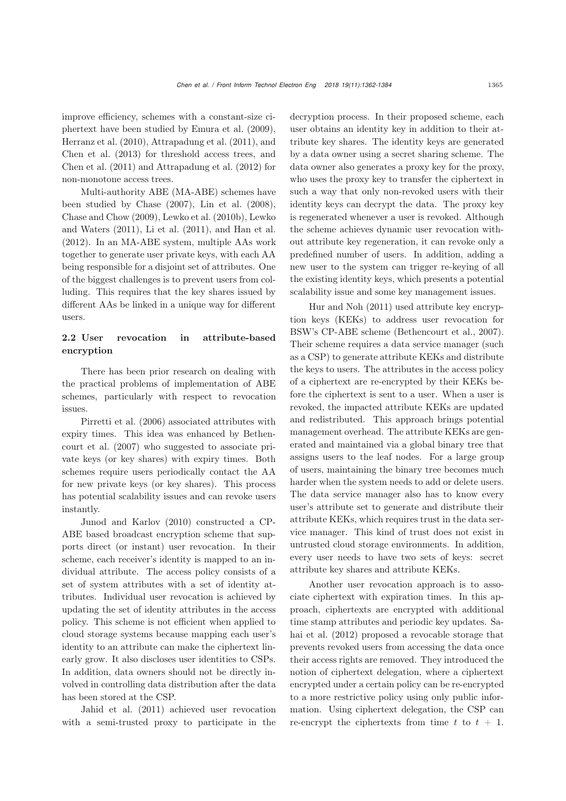improve efficiency, schemes with a constant-size ciphertext have been studied by [Emura et al.](#page-21-10) [\(2009\)](#page-21-10), [Herranz et al.](#page-21-11) [\(2010\)](#page-21-11), [Attrapadung et al.](#page-21-12) [\(2011\)](#page-21-12), and [Chen et al.](#page-21-13) [\(2013\)](#page-21-13) for threshold access trees, and [Chen et al.](#page-21-14) [\(2011](#page-21-14)) and [Attrapadung et al.](#page-21-15) [\(2012\)](#page-21-15) for non-monotone access trees.

Multi-authority ABE (MA-ABE) schemes have been studied by [Chase](#page-21-16) [\(2007](#page-21-16)), [Lin et al.](#page-22-16) [\(2008\)](#page-22-16), [Chase and Chow](#page-21-17) [\(2009](#page-21-17)[\),](#page-22-17) [Lewko et al.](#page-22-13) [\(2010b](#page-22-13)[\),](#page-22-17) Lewko and Waters [\(2011](#page-22-17)), [Li et al.](#page-22-18) [\(2011](#page-22-18)), and [Han et al.](#page-21-18) [\(2012](#page-21-18)). In an MA-ABE system, multiple AAs work together to generate user private keys, with each AA being responsible for a disjoint set of attributes. One of the biggest challenges is to prevent users from colluding. This requires that the key shares issued by different AAs be linked in a unique way for different users.

# 2.2 User revocation in attribute-based encryption

There has been prior research on dealing with the practical problems of implementation of ABE schemes, particularly with respect to revocation [issues.](#page-22-19)

Pirretti et al. [\(2006](#page-22-19)) associated attributes with expiry tim[es.](#page-21-6) [This](#page-21-6) [idea](#page-21-6) [was](#page-21-6) [enhanced](#page-21-6) [by](#page-21-6) Bethencourt et al. [\(2007](#page-21-6)) who suggested to associate private keys (or key shares) with expiry times. Both schemes require users periodically contact the AA for new private keys (or key shares). This process has potential scalability issues and can revoke users instantly.

Junod and Karlov [\(2010\)](#page-22-20) constructed a CP-ABE based broadcast encryption scheme that supports direct (or instant) user revocation. In their scheme, each receiver's identity is mapped to an individual attribute. The access policy consists of a set of system attributes with a set of identity attributes. Individual user revocation is achieved by updating the set of identity attributes in the access policy. This scheme is not efficient when applied to cloud storage systems because mapping each user's identity to an attribute can make the ciphertext linearly grow. It also discloses user identities to CSPs. In addition, data owners should not be directly involved in controlling data distribution after the data [has](#page-22-21) [been](#page-22-21) [stored](#page-22-21) [a](#page-22-21)t the CSP.

Jahid et al. [\(2011](#page-22-21)) achieved user revocation with a semi-trusted proxy to participate in the decryption process. In their proposed scheme, each user obtains an identity key in addition to their attribute key shares. The identity keys are generated by a data owner using a secret sharing scheme. The data owner also generates a proxy key for the proxy, who uses the proxy key to transfer the ciphertext in such a way that only non-revoked users with their identity keys can decrypt the data. The proxy key is regenerated whenever a user is revoked. Although the scheme achieves dynamic user revocation without attribute key regeneration, it can revoke only a predefined number of users. In addition, adding a new user to the system can trigger re-keying of all the existing identity keys, which presents a potential scalability issue and some key management issues.

Hur and Noh [\(2011\)](#page-22-22) used attribute key encryption keys (KEKs) to address user revocation for BSW's CP-ABE scheme [\(Bethencourt et al.](#page-21-6), [2007\)](#page-21-6). Their scheme requires a data service manager (such as a CSP) to generate attribute KEKs and distribute the keys to users. The attributes in the access policy of a ciphertext are re-encrypted by their KEKs before the ciphertext is sent to a user. When a user is revoked, the impacted attribute KEKs are updated and redistributed. This approach brings potential management overhead. The attribute KEKs are generated and maintained via a global binary tree that assigns users to the leaf nodes. For a large group of users, maintaining the binary tree becomes much harder when the system needs to add or delete users. The data service manager also has to know every user's attribute set to generate and distribute their attribute KEKs, which requires trust in the data service manager. This kind of trust does not exist in untrusted cloud storage environments. In addition, every user needs to have two sets of keys: secret attribute key shares and attribute KEKs.

Another user revocation approach is to associate ciphertext with expiration times. In this approach, ciphertexts are encrypted with additional time sta[mp](#page-22-23) [attributes](#page-22-23) [and](#page-22-23) [periodic](#page-22-23) [key](#page-22-23) [updates.](#page-22-23) Sahai et al. [\(2012\)](#page-22-23) proposed a revocable storage that prevents revoked users from accessing the data once their access rights are removed. They introduced the notion of ciphertext delegation, where a ciphertext encrypted under a certain policy can be re-encrypted to a more restrictive policy using only public information. Using ciphertext delegation, the CSP can re-encrypt the ciphertexts from time t to  $t + 1$ .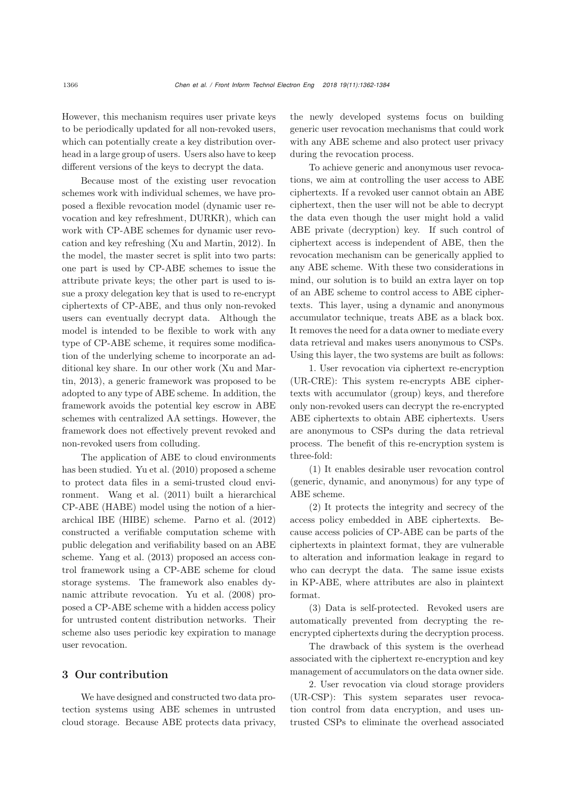However, this mechanism requires user private keys to be periodically updated for all non-revoked users, which can potentially create a key distribution overhead in a large group of users. Users also have to keep different versions of the keys to decrypt the data.

Because most of the existing user revocation schemes work with individual schemes, we have proposed a flexible revocation model (dynamic user revocation and key refreshment, DURKR), which can work with CP-ABE schemes for dynamic user revocation and key refreshing [\(Xu and Martin, 2012\)](#page-22-24). In the model, the master secret is split into two parts: one part is used by CP-ABE schemes to issue the attribute private keys; the other part is used to issue a proxy delegation key that is used to re-encrypt ciphertexts of CP-ABE, and thus only non-revoked users can eventually decrypt data. Although the model is intended to be flexible to work with any type of CP-ABE scheme, it requires some modification of the underlying scheme to incorporate an addi[tional](#page-22-25) [key](#page-22-25) [share.](#page-22-25) [In](#page-22-25) [our](#page-22-25) [other](#page-22-25) [work](#page-22-25) [\(](#page-22-25)Xu and Martin, [2013\)](#page-22-25), a generic framework was proposed to be adopted to any type of ABE scheme. In addition, the framework avoids the potential key escrow in ABE schemes with centralized AA settings. However, the framework does not effectively prevent revoked and non-revoked users from colluding.

The application of ABE to cloud environments has been studied. [Yu et al.](#page-22-26) [\(2010\)](#page-22-26) proposed a scheme to protect data files in a semi-trusted cloud environment. [Wang et al.](#page-22-27) [\(2011](#page-22-27)) built a hierarchical CP-ABE (HABE) model using the notion of a hierarchical IBE (HIBE) scheme. [Parno et al.](#page-22-28) [\(2012](#page-22-28)) constructed a verifiable computation scheme with public delegation and verifiability based on an ABE scheme. [Yang et al.](#page-22-29) [\(2013](#page-22-29)) proposed an access control framework using a CP-ABE scheme for cloud storage systems. The framework also enables dynamic attribute revocation. [Yu et al.](#page-22-30) [\(2008](#page-22-30)) proposed a CP-ABE scheme with a hidden access policy for untrusted content distribution networks. Their scheme also uses periodic key expiration to manage user revocation.

#### 3 Our contribution

We have designed and constructed two data protection systems using ABE schemes in untrusted cloud storage. Because ABE protects data privacy, the newly developed systems focus on building generic user revocation mechanisms that could work with any ABE scheme and also protect user privacy during the revocation process.

To achieve generic and anonymous user revocations, we aim at controlling the user access to ABE ciphertexts. If a revoked user cannot obtain an ABE ciphertext, then the user will not be able to decrypt the data even though the user might hold a valid ABE private (decryption) key. If such control of ciphertext access is independent of ABE, then the revocation mechanism can be generically applied to any ABE scheme. With these two considerations in mind, our solution is to build an extra layer on top of an ABE scheme to control access to ABE ciphertexts. This layer, using a dynamic and anonymous accumulator technique, treats ABE as a black box. It removes the need for a data owner to mediate every data retrieval and makes users anonymous to CSPs. Using this layer, the two systems are built as follows:

1. User revocation via ciphertext re-encryption (UR-CRE): This system re-encrypts ABE ciphertexts with accumulator (group) keys, and therefore only non-revoked users can decrypt the re-encrypted ABE ciphertexts to obtain ABE ciphertexts. Users are anonymous to CSPs during the data retrieval process. The benefit of this re-encryption system is three-fold:

(1) It enables desirable user revocation control (generic, dynamic, and anonymous) for any type of ABE scheme.

(2) It protects the integrity and secrecy of the access policy embedded in ABE ciphertexts. Because access policies of CP-ABE can be parts of the ciphertexts in plaintext format, they are vulnerable to alteration and information leakage in regard to who can decrypt the data. The same issue exists in KP-ABE, where attributes are also in plaintext format.

(3) Data is self-protected. Revoked users are automatically prevented from decrypting the reencrypted ciphertexts during the decryption process.

The drawback of this system is the overhead associated with the ciphertext re-encryption and key management of accumulators on the data owner side.

2. User revocation via cloud storage providers (UR-CSP): This system separates user revocation control from data encryption, and uses untrusted CSPs to eliminate the overhead associated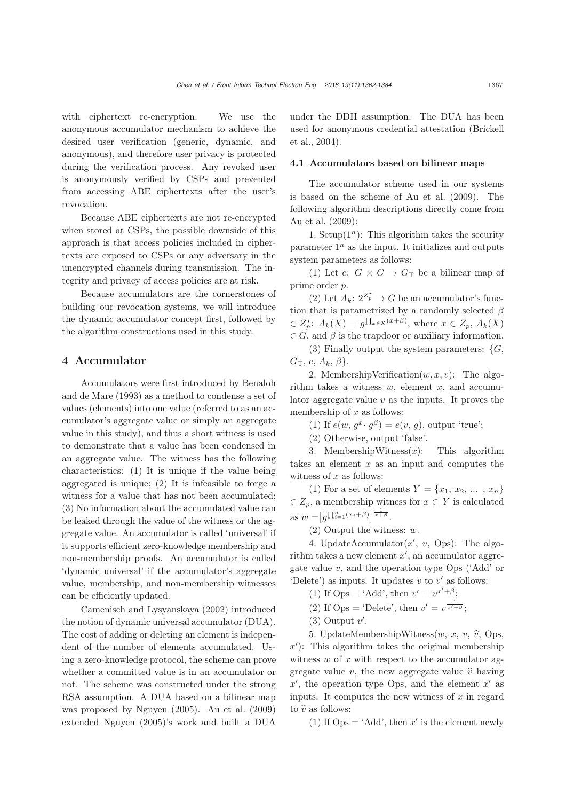with ciphertext re-encryption. We use the anonymous accumulator mechanism to achieve the desired user verification (generic, dynamic, and anonymous), and therefore user privacy is protected during the verification process. Any revoked user is anonymously verified by CSPs and prevented from accessing ABE ciphertexts after the user's revocation.

Because ABE ciphertexts are not re-encrypted when stored at CSPs, the possible downside of this approach is that access policies included in ciphertexts are exposed to CSPs or any adversary in the unencrypted channels during transmission. The integrity and privacy of access policies are at risk.

Because accumulators are the cornerstones of building our revocation systems, we will introduce the dynamic accumulator concept first, followed by the algorithm constructions used in this study.

## 4 Accumulator

Accum[ulators](#page-21-19) [were](#page-21-19) [first](#page-21-19) introduced by Benaloh and de Mare [\(1993\)](#page-21-19) as a method to condense a set of values (elements) into one value (referred to as an accumulator's aggregate value or simply an aggregate value in this study), and thus a short witness is used to demonstrate that a value has been condensed in an aggregate value. The witness has the following characteristics: (1) It is unique if the value being aggregated is unique; (2) It is infeasible to forge a witness for a value that has not been accumulated; (3) No information about the accumulated value can be leaked through the value of the witness or the aggregate value. An accumulator is called 'universal' if it supports efficient zero-knowledge membership and non-membership proofs. An accumulator is called 'dynamic universal' if the accumulator's aggregate value, membership, and non-membership witnesses can be efficiently updated.

Camenisch and Lysyanskaya [\(2002\)](#page-21-20) introduced the notion of dynamic universal accumulator (DUA). The cost of adding or deleting an element is independent of the number of elements accumulated. Using a zero-knowledge protocol, the scheme can prove whether a committed value is in an accumulator or not. The scheme was constructed under the strong RSA assumption. A DUA based on a bilinear map was proposed by [Nguyen](#page-22-31) [\(2005](#page-22-31)). [Au et al.](#page-21-21) [\(2009](#page-21-21)) extended [Nguyen](#page-22-31) [\(2005\)](#page-22-31)'s work and built a DUA

under the DDH assumption. The DUA has been used [for](#page-21-22) [anonymous](#page-21-22) [credential](#page-21-22) [attestation](#page-21-22) [\(](#page-21-22)Brickell et al., [2004\)](#page-21-22).

#### 4.1 Accumulators based on bilinear maps

The accumulator scheme used in our systems is based on the scheme of [Au et al.](#page-21-21) [\(2009](#page-21-21)). The following algorithm descriptions directly come from [Au et al.](#page-21-21) [\(2009\)](#page-21-21):

1. Setup( $1^n$ ): This algorithm takes the security parameter  $1^n$  as the input. It initializes and outputs system parameters as follows:

(1) Let  $e: G \times G \to G_T$  be a bilinear map of prime order p.

(2) Let  $A_k$ :  $2^{Z^*_{p}} \to G$  be an accumulator's function that is parametrized by a randomly selected  $\beta$  $\in Z_p^*$ :  $A_k(X) = g^{\prod_{x \in X} (x+\beta)}$ , where  $x \in Z_p$ ,  $A_k(X)$  $\in G$ , and  $\beta$  is the trapdoor or auxiliary information.

(3) Finally output the system parameters:  $\{G,$  $G_T$ , e,  $A_k$ ,  $\beta$ .

2. MembershipVerification $(w, x, v)$ : The algorithm takes a witness  $w$ , element  $x$ , and accumulator aggregate value  $v$  as the inputs. It proves the membership of  $x$  as follows:

(1) If  $e(w, q^x, q^{\beta}) = e(v, q)$ , output 'true';

(2) Otherwise, output 'false'.

3. MembershipWitness $(x)$ : This algorithm takes an element  $x$  as an input and computes the witness of  $x$  as follows:

(1) For a set of elements  $Y = \{x_1, x_2, \dots, x_n\}$ ∈  $Z_p$ , a membership witness for  $x \in Y$  is calculated as  $w = [g^{\prod_{i=1}^{n} (x_i + \beta)}]^{\frac{1}{x + \beta}}$ .

(2) Output the witness: w.

4. UpdateAccumulator $(x', v, \text{Ops})$ : The algorithm takes a new element  $x'$ , an accumulator aggregate value v, and the operation type Ops ('Add' or 'Delete') as inputs. It updates  $v$  to  $v'$  as follows:

- (1) If Ops = 'Add', then  $v' = v^{x'+\beta}$ ;
- (2) If Ops = 'Delete', then  $v' = v^{\frac{1}{x'+\beta}}$ ;
- $(3)$  Output  $v'$ .

5. UpdateMembershipWitness $(w, x, v, \hat{v}, \Omega)$ ps,  $x'$ ): This algorithm takes the original membership witness  $w$  of  $x$  with respect to the accumulator aggregate value v, the new aggregate value  $\hat{v}$  having  $x'$ , the operation type Ops, and the element  $x'$  as inputs. It computes the new witness of  $x$  in regard to  $\hat{v}$  as follows:

(1) If Ops = 'Add', then  $x'$  is the element newly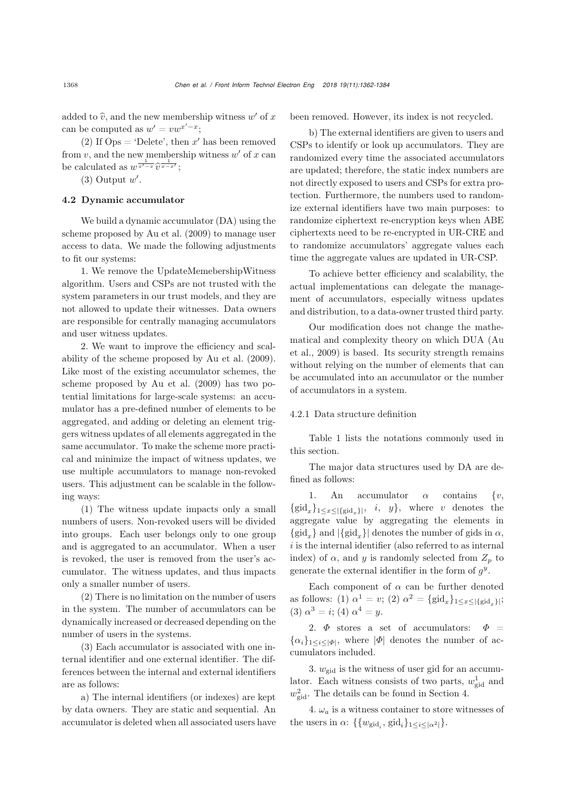added to  $\hat{v}$ , and the new membership witness  $w'$  of x<br>
seen be computed as  $w' = w_1x' - x_1$ . can be computed as  $w' = vw^{x'-x}$ ;

(2) If Ops = 'Delete', then  $x'$  has been removed from  $v$ , and the new membership witness  $w'$  of  $x$  can be calculated as  $w^{\frac{1}{x'-x}}\widehat{v}^{\frac{1}{x-x'}};$ 

 $(3)$  Output  $w'$ .

### 4.2 Dynamic accumulator

We build a dynamic accumulator (DA) using the scheme proposed by [Au et al.](#page-21-21) [\(2009](#page-21-21)) to manage user access to data. We made the following adjustments to fit our systems:

1. We remove the UpdateMemebershipWitness algorithm. Users and CSPs are not trusted with the system parameters in our trust models, and they are not allowed to update their witnesses. Data owners are responsible for centrally managing accumulators and user witness updates.

2. We want to improve the efficiency and scalability of the scheme proposed by [Au et al.](#page-21-21) [\(2009\)](#page-21-21). Like most of the existing accumulator schemes, the scheme proposed by [Au et al.](#page-21-21) [\(2009\)](#page-21-21) has two potential limitations for large-scale systems: an accumulator has a pre-defined number of elements to be aggregated, and adding or deleting an element triggers witness updates of all elements aggregated in the same accumulator. To make the scheme more practical and minimize the impact of witness updates, we use multiple accumulators to manage non-revoked users. This adjustment can be scalable in the following ways:

(1) The witness update impacts only a small numbers of users. Non-revoked users will be divided into groups. Each user belongs only to one group and is aggregated to an accumulator. When a user is revoked, the user is removed from the user's accumulator. The witness updates, and thus impacts only a smaller number of users.

(2) There is no limitation on the number of users in the system. The number of accumulators can be dynamically increased or decreased depending on the number of users in the systems.

(3) Each accumulator is associated with one internal identifier and one external identifier. The differences between the internal and external identifiers are as follows:

a) The internal identifiers (or indexes) are kept by data owners. They are static and sequential. An accumulator is deleted when all associated users have been removed. However, its index is not recycled.

b) The external identifiers are given to users and CSPs to identify or look up accumulators. They are randomized every time the associated accumulators are updated; therefore, the static index numbers are not directly exposed to users and CSPs for extra protection. Furthermore, the numbers used to randomize external identifiers have two main purposes: to randomize ciphertext re-encryption keys when ABE ciphertexts need to be re-encrypted in UR-CRE and to randomize accumulators' aggregate values each time the aggregate values are updated in UR-CSP.

To achieve better efficiency and scalability, the actual implementations can delegate the management of accumulators, especially witness updates and distribution, to a data-owner trusted third party.

Our modification does not change the mathematical and complexity [theory](#page-21-21) [on](#page-21-21) [which](#page-21-21) [DUA](#page-21-21) [\(](#page-21-21)Au et al., [2009\)](#page-21-21) is based. Its security strength remains without relying on the number of elements that can be accumulated into an accumulator or the number of accumulators in a system.

#### 4.2.1 Data structure definition

Table [1](#page-7-0) lists the notations commonly used in this section.

The major data structures used by DA are defined as follows:

1. An accumulator  $\alpha$  contains  $\{v,$  $\{gid_x\}_{1\leq x\leq |\{gid_x\}|}$ , *i*, *y*, where *v* denotes the aggregate value by aggregating the elements in  $\{gid_{\tau}\}\$ and  $|\{gid_{\tau}\}\|$  denotes the number of gids in  $\alpha$ ,  $i$  is the internal identifier (also referred to as internal index) of  $\alpha$ , and y is randomly selected from  $Z_p$  to generate the external identifier in the form of  $q^y$ .

Each component of  $\alpha$  can be further denoted as follows: (1)  $\alpha^1 = v$ ; (2)  $\alpha^2 = {\text{gid}_x}_{1 \le x \le {\text{lgid}_x}};$ (3)  $\alpha^3 = i$ ; (4)  $\alpha^4 = y$ .

2.  $\Phi$  stores a set of accumulators:  $\Phi =$  $\{\alpha_i\}_{1\leq i\leq |\phi|}$ , where  $|\Phi|$  denotes the number of accumulators included.

3.  $w_{\text{gid}}$  is the witness of user gid for an accumulator. Each witness consists of two parts,  $w_{\text{gid}}^1$  and  $w_{\text{gid}}^2$ . The details can be found in Section [4.](#page-8-0)

4.  $\omega_a$  is a witness container to store witnesses of the users in  $\alpha$ :  $\{\{w_{\text{gid}_i}, \text{gid}_i\}_{1 \leq i \leq |\alpha^2|}\}.$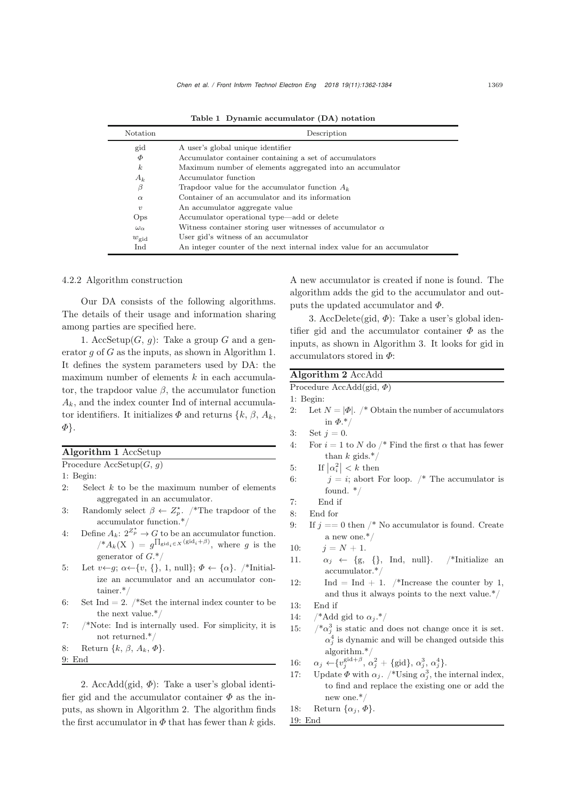| Notation          | Description                                                            |  |  |
|-------------------|------------------------------------------------------------------------|--|--|
| gid               | A user's global unique identifier                                      |  |  |
| Ф                 | Accumulator container containing a set of accumulators                 |  |  |
| $\boldsymbol{k}$  | Maximum number of elements aggregated into an accumulator              |  |  |
| $A_k$             | Accumulator function                                                   |  |  |
| β                 | Trapdoor value for the accumulator function $A_k$                      |  |  |
| $\alpha$          | Container of an accumulator and its information                        |  |  |
| $\boldsymbol{v}$  | An accumulator aggregate value                                         |  |  |
| Ops               | Accumulator operational type—add or delete                             |  |  |
| $\omega_{\alpha}$ | Witness container storing user witnesses of accumulator $\alpha$       |  |  |
| $w_{\text{gid}}$  | User gid's witness of an accumulator                                   |  |  |
| Ind               | An integer counter of the next internal index value for an accumulator |  |  |

<span id="page-7-0"></span>Table 1 Dynamic accumulator (DA) notation

#### 4.2.2 Algorithm construction

Our DA consists of the following algorithms. The details of their usage and information sharing among parties are specified here.

1.  $AccSetup(G, g)$ : Take a group G and a generator  $q$  of  $G$  as the inputs, as shown in Algorithm [1.](#page-7-1) It defines the system parameters used by DA: the maximum number of elements  $k$  in each accumulator, the trapdoor value  $\beta$ , the accumulator function  $A_k$ , and the index counter Ind of internal accumulator identifiers. It initializes  $\Phi$  and returns  $\{k, \beta, A_k\}$ Φ}.

<span id="page-7-1"></span>

- Procedure  $AccSetup(G, g)$
- 1: Begin:
- 2: Select  $k$  to be the maximum number of elements aggregated in an accumulator.
- 3: Randomly select  $\beta \leftarrow Z_p^*$ . /\*The trapdoor of the accumulator function.\*/
- 4: Define  $A_k: 2^{Z^*_{p}} \to G$  to be an accumulator function.  $\binom{*}{{}^*A_k(X)} = g^{\prod_{\text{gid}_i \in X}(\text{gid}_i + \beta)},$  where g is the generator of  $G.*/$
- 5: Let  $v \leftarrow g$ ;  $\alpha \leftarrow \{v, \{\}, 1, \text{null}\}; \Phi \leftarrow \{\alpha\}.$  /\*Initialize an accumulator and an accumulator container.\*/
- 6: Set Ind  $= 2$ . /\*Set the internal index counter to be the next value.\*/
- 7: /\*Note: Ind is internally used. For simplicity, it is not returned.\*/
- 8: Return  $\{k, \beta, A_k, \Phi\}.$
- 9: End

2.  $AccAdd(gid, \Phi)$ : Take a user's global identifier gid and the accumulator container  $\Phi$  as the inputs, as shown in Algorithm [2.](#page-7-2) The algorithm finds the first accumulator in  $\Phi$  that has fewer than k gids. A new accumulator is created if none is found. The algorithm adds the gid to the accumulator and outputs the updated accumulator and  $\Phi$ .

3.  $AccDelete(\text{gid}, \Phi)$ : Take a user's global identifier gid and the accumulator container  $\Phi$  as the inputs, as shown in Algorithm [3.](#page-8-1) It looks for gid in accumulators stored in  $\Phi$ :

# <span id="page-7-2"></span>Algorithm 2 AccAdd Procedure AccAdd(gid, Φ) 1: Begin: 2: Let  $N = |\Phi|$ . /\* Obtain the number of accumulators in  $\Phi.*/$

- 
- 3: Set  $j = 0$ .<br>4: For  $i = 1$  1 For  $i = 1$  to N do /\* Find the first  $\alpha$  that has fewer than  $k$  gids.\*/
- 5: If  $|\alpha_i^2| < k$  then
- 6:  $j = i$ ; abort For loop. /\* The accumulator is found. \*/
- 7: End if
- 8: End for
- 9: If  $j == 0$  then /\* No accumulator is found. Create a new one.\*/
- 10:  $j = N + 1$ .<br>11.  $\alpha_i \leftarrow \{\mathfrak{g},\}$
- $\alpha_i \leftarrow {\text{g}, \{\}, \text{Ind}, \text{null}.}$  /\*Initialize an accumulator.\*/
- 12: Ind = Ind + 1. /\*Increase the counter by 1, and thus it always points to the next value.\*/
- 13: End if
- 14: /\*Add gid to  $\alpha_j$ .\*/<br>15: /\* $\alpha_i^3$  is static and
- 15:  $\frac{* \alpha_j^3}{q}$  is static and does not change once it is set.  $\alpha_j^4$  is dynamic and will be changed outside this algorithm.\*/
- 16:  $\alpha_j \leftarrow \{v_j^{\text{gid}+\beta}, \alpha_j^2 + \{\text{gid}\}, \alpha_j^3, \alpha_j^4\}.$ <br>17. Undete finish at  $\alpha_j^{\text{R}}$ . The state of the state of the state of the state of the state of the state of the state of the state of the state of the state of the s
- 17: Update  $\Phi$  with  $\alpha_j$ . /\*Using  $\alpha_j^3$ , the internal index, to find and replace the existing one or add the new one.\*/
- 18: Return  $\{\alpha_j, \Phi\}.$

19: End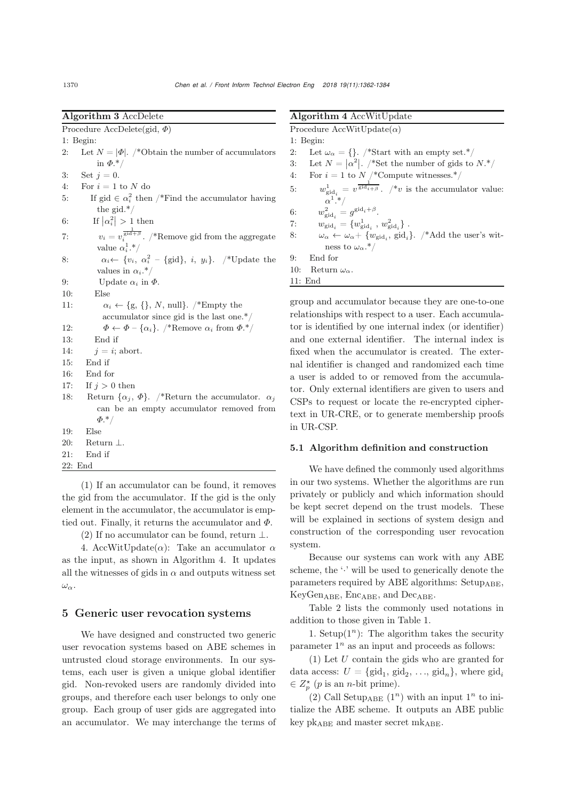<span id="page-8-1"></span>

| <b>Algorithm 3 AccDelete</b>                                                           |  |  |  |  |
|----------------------------------------------------------------------------------------|--|--|--|--|
| Procedure AccDelete(gid, $\Phi$ )                                                      |  |  |  |  |
| 1: Begin:                                                                              |  |  |  |  |
| Let $N =  \Phi $ . /*Obtain the number of accumulators<br>2:                           |  |  |  |  |
| in $\varPhi.*/$                                                                        |  |  |  |  |
| 3:<br>Set $i=0$ .                                                                      |  |  |  |  |
| For $i=1$ to N do<br>4:                                                                |  |  |  |  |
| If gid $\in \alpha_i^2$ then /*Find the accumulator having<br>5:                       |  |  |  |  |
| the gid. $*/$                                                                          |  |  |  |  |
| If $ \alpha_i^2  > 1$ then<br>6:                                                       |  |  |  |  |
| $v_i=v_i^{\frac{1}{\text{gid}+\beta}}.$ /*<br>Remove gid from the aggregate<br>7:      |  |  |  |  |
| value $\alpha_i^1.*/$                                                                  |  |  |  |  |
| $\alpha_i \leftarrow \{v_i, \alpha_i^2 - \{\text{gid}\}, i, y_i\}.$ /*Update the<br>8: |  |  |  |  |
| values in $\alpha_i.*/$                                                                |  |  |  |  |
| Update $\alpha_i$ in $\Phi$ .<br>9:                                                    |  |  |  |  |
| Else<br>10:                                                                            |  |  |  |  |
| $\alpha_i \leftarrow \{\text{g}, \{\}, N, \text{null}\}.$ /*Empty the<br>11:           |  |  |  |  |
| accumulator since gid is the last one. $*/$                                            |  |  |  |  |
| $\Phi \leftarrow \Phi$ – { $\alpha_i$ }. /*Remove $\alpha_i$ from $\Phi$ .*/<br>12:    |  |  |  |  |
| 13:<br>End if                                                                          |  |  |  |  |
| $i = i$ ; abort.<br>14:                                                                |  |  |  |  |
| 15:<br>End if                                                                          |  |  |  |  |
| 16:<br>End for                                                                         |  |  |  |  |
| If $j > 0$ then<br>17:                                                                 |  |  |  |  |
| Return $\{\alpha_j, \Phi\}$ . /*Return the accumulator. $\alpha_j$<br>18:              |  |  |  |  |
| can be an empty accumulator removed from                                               |  |  |  |  |
| $\varPhi.*/$                                                                           |  |  |  |  |
| Else<br>19:                                                                            |  |  |  |  |
| 20:<br>Return $\perp$ .                                                                |  |  |  |  |
| End if<br>21:                                                                          |  |  |  |  |
| $22:$ End                                                                              |  |  |  |  |

(1) If an accumulator can be found, it removes the gid from the accumulator. If the gid is the only element in the accumulator, the accumulator is emptied out. Finally, it returns the accumulator and  $\Phi$ .

(2) If no accumulator can be found, return  $\perp$ .

4. AccWitUpdate( $\alpha$ ): Take an accumulator  $\alpha$ as the input, as shown in Algorithm [4.](#page-8-0) It updates all the witnesses of gids in  $\alpha$  and outputs witness set  $\omega_{\alpha}$ .

## 5 Generic user revocation systems

We have designed and constructed two generic user revocation systems based on ABE schemes in untrusted cloud storage environments. In our systems, each user is given a unique global identifier gid. Non-revoked users are randomly divided into groups, and therefore each user belongs to only one group. Each group of user gids are aggregated into an accumulator. We may interchange the terms of

<span id="page-8-0"></span>

| <b>Algorithm 4 AccWitUpdate</b>                                                                                |  |  |  |  |
|----------------------------------------------------------------------------------------------------------------|--|--|--|--|
| Procedure AccWitUpdate( $\alpha$ )                                                                             |  |  |  |  |
| $1:$ Begin:                                                                                                    |  |  |  |  |
| Let $\omega_{\alpha} = \{\}\$ . /*Start with an empty set.*/<br>2:                                             |  |  |  |  |
| Let $N =  \alpha^2 $ . /*Set the number of gids to N.*/<br>3:                                                  |  |  |  |  |
| For $i = 1$ to $N$ /*Compute witnesses.*/<br>4:                                                                |  |  |  |  |
| $w_{\text{rid.}}^1 = v^{\frac{1}{\text{gid}_{i+\beta}}}$ . /*v is the accumulator value:<br>5:                 |  |  |  |  |
| $\alpha^1.*$                                                                                                   |  |  |  |  |
| $w_{\text{gid}_i}^2 = g^{\text{gid}_i + \beta}.$<br>6:                                                         |  |  |  |  |
| $w_{\text{gid}_i} = \{w_{\text{gid}_i}^1, w_{\text{gid}_i}^2\}$ .<br>7:                                        |  |  |  |  |
| $\omega_{\alpha} \leftarrow \omega_{\alpha} + \{w_{\text{gid}_i}, \text{gid}_i\}.$ /*Add the user's wit-<br>8: |  |  |  |  |
| ness to $\omega_{\alpha}$ <sup>*</sup> /                                                                       |  |  |  |  |
| 9:<br>End for                                                                                                  |  |  |  |  |
| 10:<br>Return $\omega_{\alpha}$ .                                                                              |  |  |  |  |
| $11:$ End                                                                                                      |  |  |  |  |

group and accumulator because they are one-to-one relationships with respect to a user. Each accumulator is identified by one internal index (or identifier) and one external identifier. The internal index is fixed when the accumulator is created. The external identifier is changed and randomized each time a user is added to or removed from the accumulator. Only external identifiers are given to users and CSPs to request or locate the re-encrypted ciphertext in UR-CRE, or to generate membership proofs in UR-CSP.

#### 5.1 Algorithm definition and construction

We have defined the commonly used algorithms in our two systems. Whether the algorithms are run privately or publicly and which information should be kept secret depend on the trust models. These will be explained in sections of system design and construction of the corresponding user revocation system.

Because our systems can work with any ABE scheme, the '.' will be used to generically denote the parameters required by ABE algorithms:  $Setup_{ABE}$ ,  $KeyGen_{ABE}$ ,  $Enc_{ABE}$ , and  $Dec_{ABE}$ .

Table [2](#page-9-0) lists the commonly used notations in addition to those given in Table [1.](#page-7-0)

1. Setup( $1^n$ ): The algorithm takes the security parameter  $1^n$  as an input and proceeds as follows:

(1) Let U contain the gids who are granted for data access:  $U = \{ \text{gid}_1, \text{gid}_2, \ldots, \text{gid}_n \},$  where  $\text{gid}_i$  $\in Z_p^*$  (p is an n-bit prime).

(2) Call Setup<sub>ABE</sub>  $(1^n)$  with an input  $1^n$  to initialize the ABE scheme. It outputs an ABE public key pk<sub>ABE</sub> and master secret mk<sub>ABE</sub>.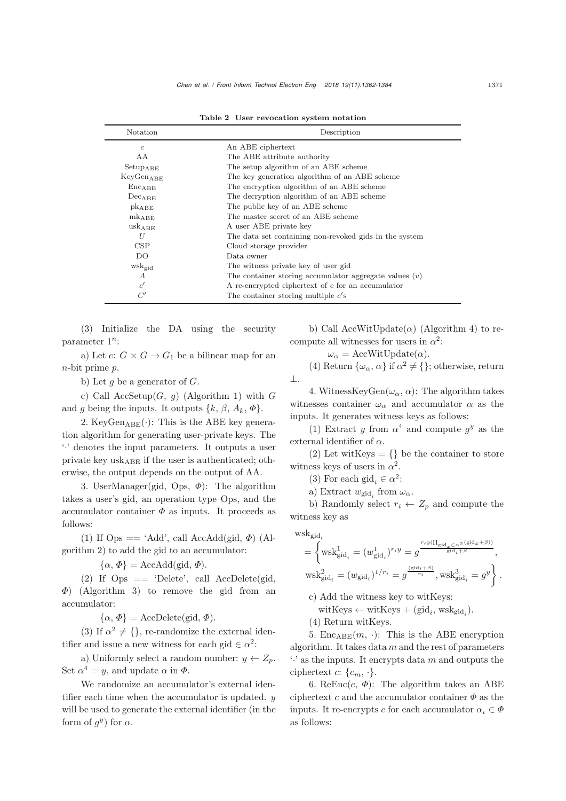| Notation           | Description                                              |  |  |
|--------------------|----------------------------------------------------------|--|--|
| $\mathfrak{c}$     | An ABE ciphertext                                        |  |  |
| AA                 | The ABE attribute authority                              |  |  |
| $Setup_{ABE}$      | The setup algorithm of an ABE scheme                     |  |  |
| $KeyGen_{ABE}$     | The key generation algorithm of an ABE scheme            |  |  |
| $Enc_{ABE}$        | The encryption algorithm of an ABE scheme                |  |  |
| $Dec_{ABE}$        | The decryption algorithm of an ABE scheme                |  |  |
| $pk_{ABE}$         | The public key of an ABE scheme                          |  |  |
| $mk_{ABE}$         | The master secret of an ABE scheme                       |  |  |
| $usk_{ABE}$        | A user ABE private key                                   |  |  |
| U                  | The data set containing non-revoked gids in the system   |  |  |
| CSP                | Cloud storage provider                                   |  |  |
| DO                 | Data owner                                               |  |  |
| $wsk_{\text{gid}}$ | The witness private key of user gid                      |  |  |
| Λ                  | The container storing accumulator aggregate values $(v)$ |  |  |
| c'                 | A re-encrypted ciphertext of $c$ for an accumulator      |  |  |
| C'                 | The container storing multiple $c's$                     |  |  |

<span id="page-9-0"></span>Table 2 User revocation system notation

(3) Initialize the DA using the security parameter  $1^n$ :

a) Let  $e: G \times G \to G_1$  be a bilinear map for an n-bit prime p.

b) Let q be a generator of  $G$ .

c) Call  $AccSetup(G, q)$  (Algorithm [1\)](#page-7-1) with G and g being the inputs. It outputs  $\{k, \beta, A_k, \Phi\}.$ 

2. Key $Gen_{ABE}(\cdot)$ : This is the ABE key generation algorithm for generating user-private keys. The '·' denotes the input parameters. It outputs a user private key uskABE if the user is authenticated; otherwise, the output depends on the output of AA.

3. UserManager(gid, Ops,  $\Phi$ ): The algorithm takes a user's gid, an operation type Ops, and the accumulator container  $\Phi$  as inputs. It proceeds as follows:

(1) If  $Ops == 'Add'$ , call  $AccAdd(gid, \Phi)$  (Algorithm [2\)](#page-7-2) to add the gid to an accumulator:

 $\{\alpha, \varPhi\}$  = AccAdd(gid,  $\varPhi$ ).

(2) If  $Ops =$  'Delete', call AccDelete(gid,  $\Phi$ ) (Algorithm [3\)](#page-8-1) to remove the gid from an accumulator:

 $\{\alpha, \varPhi\}$  = AccDelete(gid,  $\varPhi$ ).

(3) If  $\alpha^2 \neq \{\}$ , re-randomize the external identifier and issue a new witness for each gid  $\in \alpha^2$ :

a) Uniformly select a random number:  $y \leftarrow Z_p$ . Set  $\alpha^4 = y$ , and update  $\alpha$  in  $\Phi$ .

We randomize an accumulator's external identifier each time when the accumulator is updated.  $y$ will be used to generate the external identifier (in the form of  $q^y$ ) for  $\alpha$ .

b) Call AccWitUpdate(
$$
\alpha
$$
) (Algorithm 4) to re-  
compute all witnesses for users in  $\alpha^2$ :

$$
\omega_\alpha = \mathrm{AccWitUpdate}(\alpha).
$$

(4) Return  $\{\omega_{\alpha}, \alpha\}$  if  $\alpha^2 \neq \{\}$ ; otherwise, return ⊥.

4. WitnessKeyGen $(\omega_{\alpha}, \alpha)$ : The algorithm takes witnesses container  $\omega_{\alpha}$  and accumulator  $\alpha$  as the inputs. It generates witness keys as follows:

(1) Extract y from  $\alpha^4$  and compute  $g^y$  as the external identifier of  $\alpha$ .

(2) Let witKeys  $= \{\}$  be the container to store witness keys of users in  $\alpha^2$ .

(3) For each gid<sub>i</sub>  $\in \alpha^2$ :

a) Extract  $w_{\text{gid}_i}$  from  $\omega_{\alpha}$ .

b) Randomly select  $r_i \leftarrow Z_p$  and compute the witness key as

$$
\mathbf{wsk}_{\mathbf{gid}_i}
$$

$$
= \left\{\text{wsk}_{\text{gid}_i}^1 = (w_{\text{gid}_i}^1)^{r_i y} = g^{\frac{r_i y (\prod_{\text{gid}_x} \in \alpha^2 (\text{sid}_x + \beta))}{\text{gid}_i + \beta}},\right.\\ \text{wsk}_{\text{gid}_i}^2 = (w_{\text{gid}_i})^{1/r_i} = g^{\frac{(\text{sid}_i + \beta)}{r_i}}, \text{wsk}_{\text{gid}_i}^3 = g^y\right\}.
$$

c) Add the witness key to witKeys:

witKeys  $\leftarrow$  witKeys + (gid, wsk<sub>gid</sub>).

(4) Return witKeys.

5. Enc<sub>ABE</sub> $(m, \cdot)$ : This is the ABE encryption algorithm. It takes data  $m$  and the rest of parameters  $\cdot$  as the inputs. It encrypts data m and outputs the ciphertext  $c: \{c_m, \cdot\}.$ 

6. ReEnc $(c, \Phi)$ : The algorithm takes an ABE ciphertext c and the accumulator container  $\Phi$  as the inputs. It re-encrypts c for each accumulator  $\alpha_i \in \Phi$ as follows: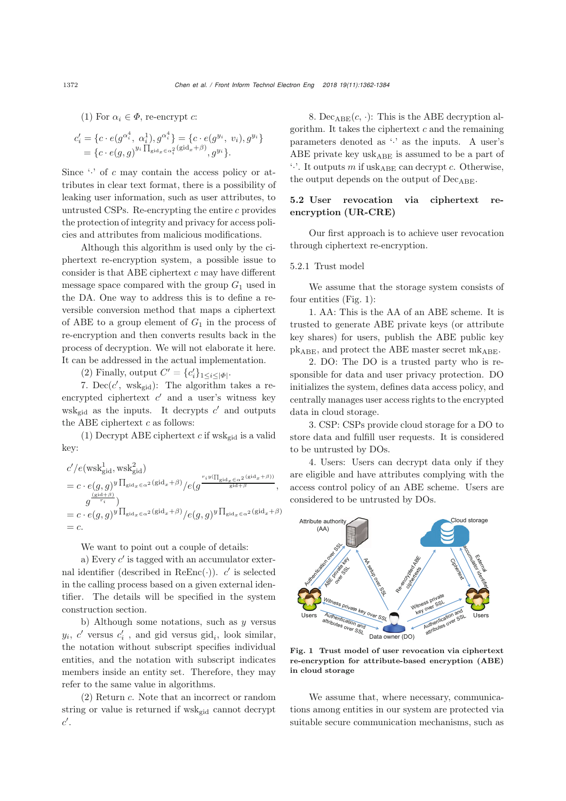(1) For  $\alpha_i \in \Phi$ , re-encrypt c:

$$
c'_{i} = \{c \cdot e(g^{\alpha_{i}^{4}}, \alpha_{i}^{1}), g^{\alpha_{i}^{4}}\} = \{c \cdot e(g^{y_{i}}, v_{i}), g^{y_{i}}\}\
$$

$$
= \{c \cdot e(g, g)^{y_{i}} \prod_{\text{std}_{x} \in \alpha_{i}^{2}} (\text{gid}_{x} + \beta), g^{y_{i}}\}.
$$

Since  $\cdot$  of c may contain the access policy or attributes in clear text format, there is a possibility of leaking user information, such as user attributes, to untrusted CSPs. Re-encrypting the entire c provides the protection of integrity and privacy for access policies and attributes from malicious modifications.

Although this algorithm is used only by the ciphertext re-encryption system, a possible issue to consider is that ABE ciphertext  $c$  may have different message space compared with the group  $G_1$  used in the DA. One way to address this is to define a reversible conversion method that maps a ciphertext of ABE to a group element of  $G_1$  in the process of re-encryption and then converts results back in the process of decryption. We will not elaborate it here. It can be addressed in the actual implementation.

(2) Finally, output  $C' = \{c'_i\}_{1 \leq i \leq |\Phi|}$ .

7. Dec( $c'$ , wsk<sub>gid</sub>): The algorithm takes a reencrypted ciphertext  $c'$  and a user's witness key wsk<sub>gid</sub> as the inputs. It decrypts  $c'$  and outputs the ABE ciphertext  $c$  as follows:

(1) Decrypt ABE ciphertext  $c$  if wsk<sub>gid</sub> is a valid key:

$$
c'/e(\text{wsk}_{\text{gid}}^{1}, \text{wsk}_{\text{gid}}^{2})
$$
  
=  $c \cdot e(g, g)^{y \prod_{\text{gid}_x \in \alpha^2} (\text{gid}_x + \beta)} / e(g^{\frac{r_i y (\prod_{\text{gid}_x \in \alpha^2} (\text{gid}_x + \beta))}{\text{gid} + \beta}},$   
=  $c \cdot e(g, g)^{y \prod_{\text{gid}_x \in \alpha^2} (\text{gid}_x + \beta)} / e(g, g)^{y \prod_{\text{gid}_x \in \alpha^2} (\text{gid}_x + \beta)}$   
=  $c.$ 

We want to point out a couple of details:

a) Every  $c'$  is tagged with an accumulator external identifier (described in  $\text{ReEnc}(\cdot)$ ).  $c'$  is selected in the calling process based on a given external identifier. The details will be specified in the system construction section.

b) Although some notations, such as  $y$  versus  $y_i$ ,  $c'$  versus  $c'_i$ , and gid versus  $\text{gid}_i$ , look similar, the notation without subscript specifies individual entities, and the notation with subscript indicates members inside an entity set. Therefore, they may refer to the same value in algorithms.

(2) Return c. Note that an incorrect or random string or value is returned if  $wsk_{gid}$  cannot decrypt  $c'.$ 

8. Dec<sub>ABE</sub> $(c, \cdot)$ : This is the ABE decryption algorithm. It takes the ciphertext  $c$  and the remaining parameters denoted as '·' as the inputs. A user's ABE private key usk $_{ABE}$  is assumed to be a part of  $\cdot$ . It outputs m if usk<sub>ABE</sub> can decrypt c. Otherwise, the output depends on the output of Dec<sub>ABE</sub>.

## 5.2 User revocation via ciphertext reencryption (UR-CRE)

Our first approach is to achieve user revocation through ciphertext re-encryption.

#### 5.2.1 Trust model

We assume that the storage system consists of four entities (Fig. 1):

1. AA: This is the AA of an ABE scheme. It is trusted to generate ABE private keys (or attribute key shares) for users, publish the ABE public key  $pk_{ABE}$ , and protect the ABE master secret mk<sub>ABE</sub>.

2. DO: The DO is a trusted party who is responsible for data and user privacy protection. DO initializes the system, defines data access policy, and centrally manages user access rights to the encrypted data in cloud storage.

3. CSP: CSPs provide cloud storage for a DO to store data and fulfill user requests. It is considered to be untrusted by DOs.

4. Users: Users can decrypt data only if they are eligible and have attributes complying with the access control policy of an ABE scheme. Users are considered to be untrusted by DOs.



Fig. 1 Trust model of user revocation via ciphertext re-encryption for attribute-based encryption (ABE) in cloud storage

We assume that, where necessary, communications among entities in our system are protected via suitable secure communication mechanisms, such as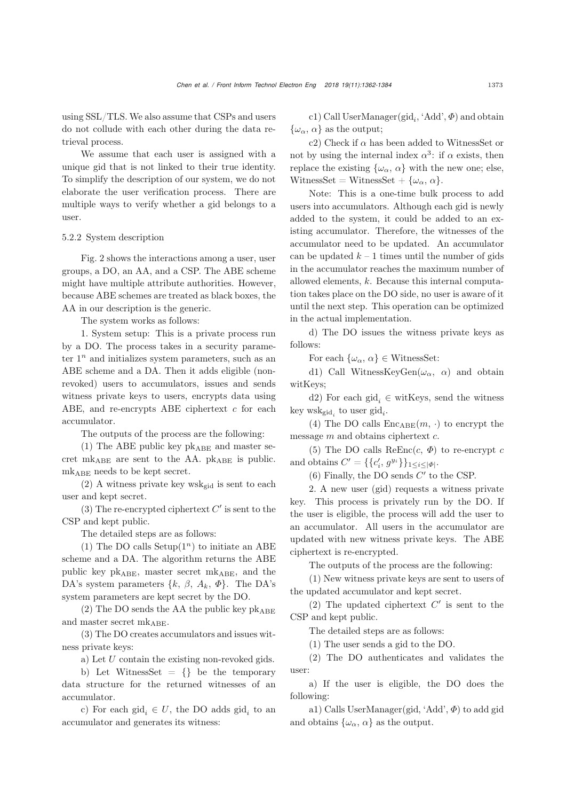using SSL/TLS. We also assume that CSPs and users do not collude with each other during the data retrieval process.

We assume that each user is assigned with a unique gid that is not linked to their true identity. To simplify the description of our system, we do not elaborate the user verification process. There are multiple ways to verify whether a gid belongs to a user.

#### 5.2.2 System description

Fig. [2](#page-12-0) shows the interactions among a user, user groups, a DO, an AA, and a CSP. The ABE scheme might have multiple attribute authorities. However, because ABE schemes are treated as black boxes, the AA in our description is the generic.

The system works as follows:

1. System setup: This is a private process run by a DO. The process takes in a security parameter  $1^n$  and initializes system parameters, such as an ABE scheme and a DA. Then it adds eligible (nonrevoked) users to accumulators, issues and sends witness private keys to users, encrypts data using ABE, and re-encrypts ABE ciphertext  $c$  for each accumulator.

The outputs of the process are the following:

(1) The ABE public key  $pk_{ABE}$  and master secret mk<sub>ABE</sub> are sent to the AA. pk<sub>ABE</sub> is public. mkABE needs to be kept secret.

(2) A witness private key wsk<sub>gid</sub> is sent to each user and kept secret.

(3) The re-encrypted ciphertext  $C'$  is sent to the CSP and kept public.

The detailed steps are as follows:

(1) The DO calls Setup $(1^n)$  to initiate an ABE scheme and a DA. The algorithm returns the ABE public key pk<sub>ABE</sub>, master secret mk<sub>ABE</sub>, and the DA's system parameters  $\{k, \beta, A_k, \Phi\}$ . The DA's system parameters are kept secret by the DO.

(2) The DO sends the AA the public key  $pk_{ABE}$ and master secret  $mk_{ABE}$ .

(3) The DO creates accumulators and issues witness private keys:

a) Let  $U$  contain the existing non-revoked gids.

b) Let WitnessSet  $= \{\}$  be the temporary data structure for the returned witnesses of an accumulator.

c) For each gid<sub>i</sub>  $\in U$ , the DO adds gid<sub>i</sub> to an accumulator and generates its witness:

c1) Call UserManager(gid<sub>i</sub>, 'Add',  $\Phi$ ) and obtain  $\{\omega_{\alpha}, \alpha\}$  as the output;

c2) Check if  $\alpha$  has been added to WitnessSet or not by using the internal index  $\alpha^3$ : if  $\alpha$  exists, then replace the existing  $\{\omega_{\alpha}, \alpha\}$  with the new one; else, WitnessSet = WitnessSet + { $\omega_{\alpha}, \alpha$  }.

Note: This is a one-time bulk process to add users into accumulators. Although each gid is newly added to the system, it could be added to an existing accumulator. Therefore, the witnesses of the accumulator need to be updated. An accumulator can be updated  $k-1$  times until the number of gids in the accumulator reaches the maximum number of allowed elements, k. Because this internal computation takes place on the DO side, no user is aware of it until the next step. This operation can be optimized in the actual implementation.

d) The DO issues the witness private keys as follows:

For each  $\{\omega_{\alpha}, \alpha\} \in \text{WitnessSet}:$ 

d1) Call WitnessKeyGen( $\omega_{\alpha}$ ,  $\alpha$ ) and obtain witKeys;

d2) For each gid<sub>i</sub>  $\in$  witKeys, send the witness key wsk $_{\text{gid}_i}$  to user gid<sub>i</sub>.

(4) The DO calls  $Enc_{ABE}(m, \cdot)$  to encrypt the message  $m$  and obtains ciphertext  $c$ .

(5) The DO calls  $\text{ReEnc}(c, \Phi)$  to re-encrypt c and obtains  $C' = {\{c'_i, g^{y_i}\}}_{1 \leq i \leq |\Phi|}$ .

 $(6)$  Finally, the DO sends  $C'$  to the CSP.

2. A new user (gid) requests a witness private key. This process is privately run by the DO. If the user is eligible, the process will add the user to an accumulator. All users in the accumulator are updated with new witness private keys. The ABE ciphertext is re-encrypted.

The outputs of the process are the following:

(1) New witness private keys are sent to users of the updated accumulator and kept secret.

(2) The updated ciphertext  $C'$  is sent to the CSP and kept public.

The detailed steps are as follows:

(1) The user sends a gid to the DO.

(2) The DO authenticates and validates the user:

a) If the user is eligible, the DO does the following:

a1) Calls UserManager(gid, 'Add', Φ) to add gid and obtains  $\{\omega_{\alpha}, \alpha\}$  as the output.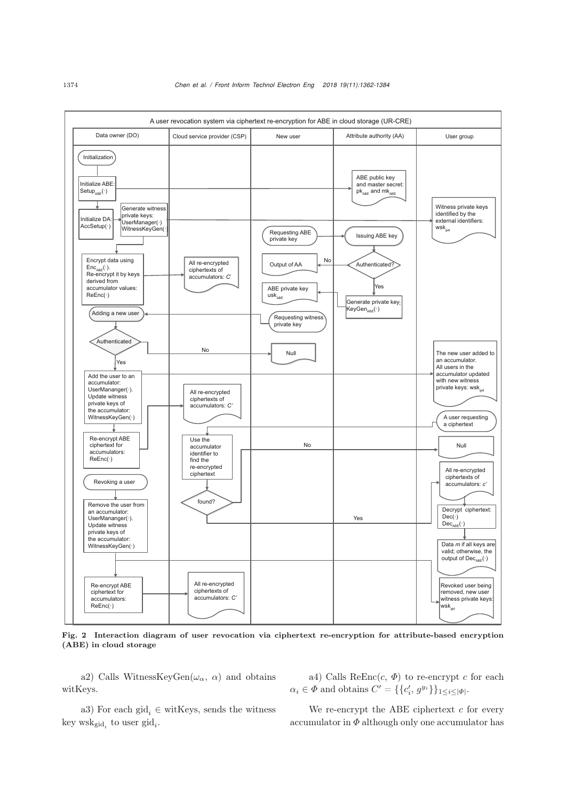

<span id="page-12-0"></span>Fig. 2 Interaction diagram of user revocation via ciphertext re-encryption for attribute-based encryption (ABE) in cloud storage

a2) Calls WitnessKeyGen( $\omega_{\alpha}$ ,  $\alpha$ ) and obtains witKeys.

a4) Calls ReEnc $(c, \Phi)$  to re-encrypt c for each  $\alpha_i \in \Phi$  and obtains  $C' = \{\{c'_i, g^{y_i}\}\}_{1 \leq i \leq |\Phi|}$ .

a3) For each gid<sub>i</sub>  $\in$  witKeys, sends the witness key wsk<sub>gidi</sub> to user gid<sub>i</sub>.

We re-encrypt the ABE ciphertext  $c$  for every accumulator in  $\varPhi$  although only one accumulator has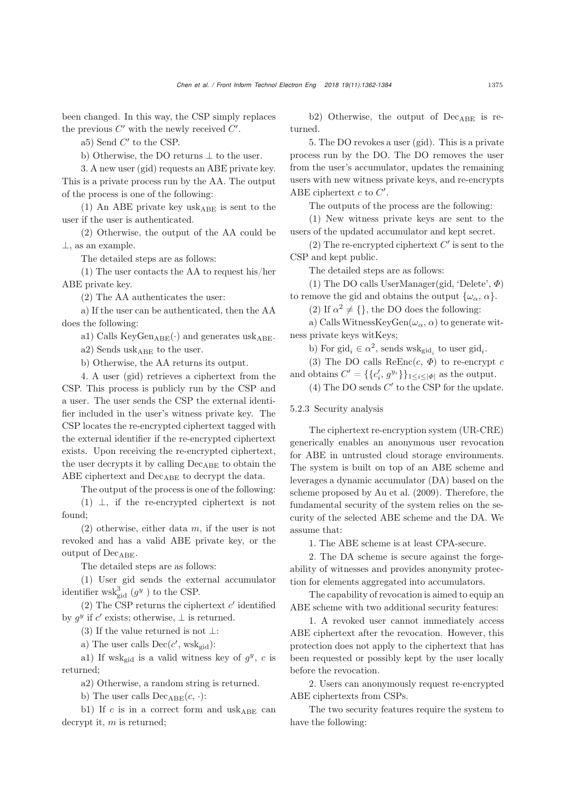been changed. In this way, the CSP simply replaces the previous  $C'$  with the newly received  $C'$ .

a5) Send  $C'$  to the CSP.

b) Otherwise, the DO returns  $\perp$  to the user.

3. A new user (gid) requests an ABE private key. This is a private process run by the AA. The output of the process is one of the following:

(1) An ABE private key usk $_{ABE}$  is sent to the user if the user is authenticated.

(2) Otherwise, the output of the AA could be ⊥, as an example.

The detailed steps are as follows:

(1) The user contacts the AA to request his/her ABE private key.

(2) The AA authenticates the user:

a) If the user can be authenticated, then the AA does the following:

a1) Calls  $KeyGen_{ABE}(\cdot)$  and generates usk<sub>ABE</sub>.

a2) Sends usk $_{\text{ARE}}$  to the user.

b) Otherwise, the AA returns its output.

4. A user (gid) retrieves a ciphertext from the CSP. This process is publicly run by the CSP and a user. The user sends the CSP the external identifier included in the user's witness private key. The CSP locates the re-encrypted ciphertext tagged with the external identifier if the re-encrypted ciphertext exists. Upon receiving the re-encrypted ciphertext, the user decrypts it by calling  $Dec_{ABE}$  to obtain the ABE ciphertext and  $Dec_{ABE}$  to decrypt the data.

The output of the process is one of the following:

(1)  $\perp$ , if the re-encrypted ciphertext is not found;

(2) otherwise, either data  $m$ , if the user is not revoked and has a valid ABE private key, or the output of Dec<sub>ABE</sub>.

The detailed steps are as follows:

(1) User gid sends the external accumulator identifier wsk $_{\text{gid}}^3$   $(g^y)$  to the CSP.

(2) The CSP returns the ciphertext  $c'$  identified by  $g^y$  if c' exists; otherwise,  $\perp$  is returned.

(3) If the value returned is not  $\perp$ :

a) The user calls  $Dec(c', wsk_{gid})$ :

a1) If wsk<sub>gid</sub> is a valid witness key of  $g^y$ , c is returned;

a2) Otherwise, a random string is returned.

b) The user calls  $Dec_{ABE}(c, \cdot)$ :

b1) If c is in a correct form and usk $_{ABE}$  can decrypt it,  $m$  is returned;

b2) Otherwise, the output of  $Dec_{ABE}$  is returned.

5. The DO revokes a user (gid). This is a private process run by the DO. The DO removes the user from the user's accumulator, updates the remaining users with new witness private keys, and re-encrypts ABE ciphertext  $c$  to  $C'$ .

The outputs of the process are the following:

(1) New witness private keys are sent to the users of the updated accumulator and kept secret.

(2) The re-encrypted ciphertext  $C'$  is sent to the CSP and kept public.

The detailed steps are as follows:

(1) The DO calls UserManager(gid, 'Delete', Φ) to remove the gid and obtains the output  $\{\omega_{\alpha}, \alpha\}.$ 

(2) If  $\alpha^2 \neq \{\}$ , the DO does the following:

a) Calls WitnessKeyGen $(\omega_{\alpha}, \alpha)$  to generate witness private keys witKeys;

b) For gid<sub>i</sub> ∈  $\alpha^2$ , sends wsk<sub>gid</sub> to user gid<sub>i</sub>.

(3) The DO calls  $\text{ReEnc}(c, \Phi)$  to re-encrypt c and obtains  $C' = \{\{c'_i, g^{y_i}\}\}_{1 \le i \le |\Phi|}$  as the output.

(4) The DO sends  $C'$  to the CSP for the update.

#### <span id="page-13-0"></span>5.2.3 Security analysis

The ciphertext re-encryption system (UR-CRE) generically enables an anonymous user revocation for ABE in untrusted cloud storage environments. The system is built on top of an ABE scheme and leverages a dynamic accumulator (DA) based on the scheme proposed by [Au et al.](#page-21-21) [\(2009](#page-21-21)). Therefore, the fundamental security of the system relies on the security of the selected ABE scheme and the DA. We assume that:

1. The ABE scheme is at least CPA-secure.

2. The DA scheme is secure against the forgeability of witnesses and provides anonymity protection for elements aggregated into accumulators.

The capability of revocation is aimed to equip an ABE scheme with two additional security features:

1. A revoked user cannot immediately access ABE ciphertext after the revocation. However, this protection does not apply to the ciphertext that has been requested or possibly kept by the user locally before the revocation.

2. Users can anonymously request re-encrypted ABE ciphertexts from CSPs.

The two security features require the system to have the following: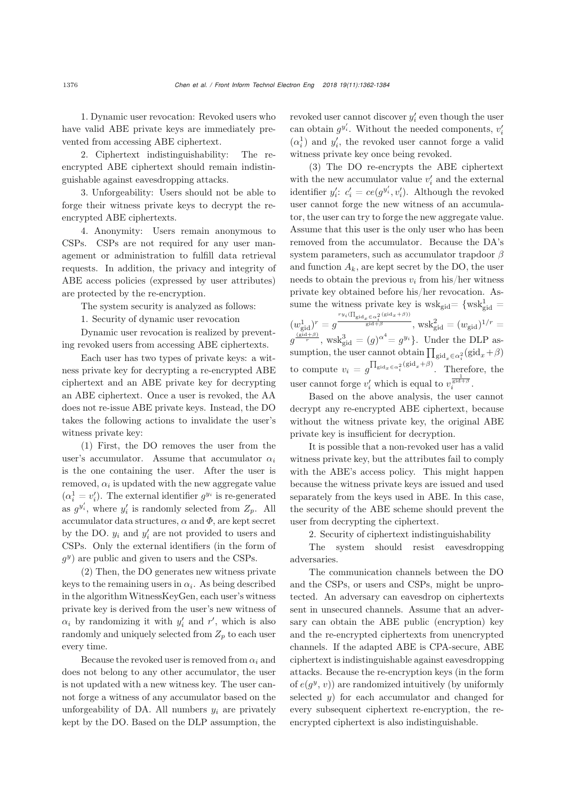1. Dynamic user revocation: Revoked users who have valid ABE private keys are immediately prevented from accessing ABE ciphertext.

2. Ciphertext indistinguishability: The reencrypted ABE ciphertext should remain indistinguishable against eavesdropping attacks.

3. Unforgeability: Users should not be able to forge their witness private keys to decrypt the reencrypted ABE ciphertexts.

4. Anonymity: Users remain anonymous to CSPs. CSPs are not required for any user management or administration to fulfill data retrieval requests. In addition, the privacy and integrity of ABE access policies (expressed by user attributes) are protected by the re-encryption.

The system security is analyzed as follows:

1. Security of dynamic user revocation

Dynamic user revocation is realized by preventing revoked users from accessing ABE ciphertexts.

Each user has two types of private keys: a witness private key for decrypting a re-encrypted ABE ciphertext and an ABE private key for decrypting an ABE ciphertext. Once a user is revoked, the AA does not re-issue ABE private keys. Instead, the DO takes the following actions to invalidate the user's witness private key:

(1) First, the DO removes the user from the user's accumulator. Assume that accumulator  $\alpha_i$ is the one containing the user. After the user is removed,  $\alpha_i$  is updated with the new aggregate value  $(\alpha_i^1 = v_i')$ . The external identifier  $g^{y_i}$  is re-generated as  $g^{y_i'}$ , where  $y_i'$  is randomly selected from  $Z_p$ . All accumulator data structures,  $\alpha$  and  $\Phi$ , are kept secret by the DO.  $y_i$  and  $y'_i$  are not provided to users and CSPs. Only the external identifiers (in the form of  $q^y$ ) are public and given to users and the CSPs.

(2) Then, the DO generates new witness private keys to the remaining users in  $\alpha_i$ . As being described in the algorithm WitnessKeyGen, each user's witness private key is derived from the user's new witness of  $\alpha_i$  by randomizing it with  $y'_i$  and  $r'$ , which is also randomly and uniquely selected from  $Z_p$  to each user every time.

Because the revoked user is removed from  $\alpha_i$  and does not belong to any other accumulator, the user is not updated with a new witness key. The user cannot forge a witness of any accumulator based on the unforgeability of DA. All numbers  $y_i$  are privately kept by the DO. Based on the DLP assumption, the

revoked user cannot discover  $y_i'$  even though the user can obtain  $g^{y'_i}$ . Without the needed components,  $v'_i$  $(\alpha_i^1)$  and  $y_i'$ , the revoked user cannot forge a valid witness private key once being revoked.

(3) The DO re-encrypts the ABE ciphertext with the new accumulator value  $v_i'$  and the external identifier  $y_i'$ :  $c_i' = ce(g^{y_i'}, v_i')$ . Although the revoked user cannot forge the new witness of an accumulator, the user can try to forge the new aggregate value. Assume that this user is the only user who has been removed from the accumulator. Because the DA's system parameters, such as accumulator trapdoor  $\beta$ and function  $A_k$ , are kept secret by the DO, the user needs to obtain the previous  $v_i$  from his/her witness private key obtained before his/her revocation. Assume the witness private key is  $wsk_{\text{gid}} = \{wsk_{\text{gid}}^1 =$  $(w_{\mathrm{gid}}^1)^r = g^{\frac{r y_i(\Pi_{\mathrm{gid}} - \varepsilon_\mathrm{d}^2 \mathrm{(sid}_x + \beta))}{\mathrm{sid} + \beta}}, \mathrm{wsk}_{\mathrm{gid}}^2 = (w_{\mathrm{gid}})^{1/r} =$  $g^{\frac{(\text{gid}+\beta)}{r}}$ , wsk $^3_{\text{gid}} = (g)^{\alpha^4} = g^{y_i}$ }. Under the DLP assumption, the user cannot obtain  $\prod_{\text{gid}_x \in \alpha_i^2} (\text{gid}_x + \beta)$ i to compute  $v_i = g^{\prod_{\text{gid}_x \in \alpha_i^2}(\text{gid}_x + \beta)}$ . Therefore, the user cannot forge  $v'_i$  which is equal to  $v_i^{\frac{1}{\gcd{d}} + \beta}$ .

Based on the above analysis, the user cannot decrypt any re-encrypted ABE ciphertext, because without the witness private key, the original ABE private key is insufficient for decryption.

It is possible that a non-revoked user has a valid witness private key, but the attributes fail to comply with the ABE's access policy. This might happen because the witness private keys are issued and used separately from the keys used in ABE. In this case, the security of the ABE scheme should prevent the user from decrypting the ciphertext.

2. Security of ciphertext indistinguishability

The system should resist eavesdropping adversaries.

The communication channels between the DO and the CSPs, or users and CSPs, might be unprotected. An adversary can eavesdrop on ciphertexts sent in unsecured channels. Assume that an adversary can obtain the ABE public (encryption) key and the re-encrypted ciphertexts from unencrypted channels. If the adapted ABE is CPA-secure, ABE ciphertext is indistinguishable against eavesdropping attacks. Because the re-encryption keys (in the form of  $e(q^y, v)$  are randomized intuitively (by uniformly selected  $y$ ) for each accumulator and changed for every subsequent ciphertext re-encryption, the reencrypted ciphertext is also indistinguishable.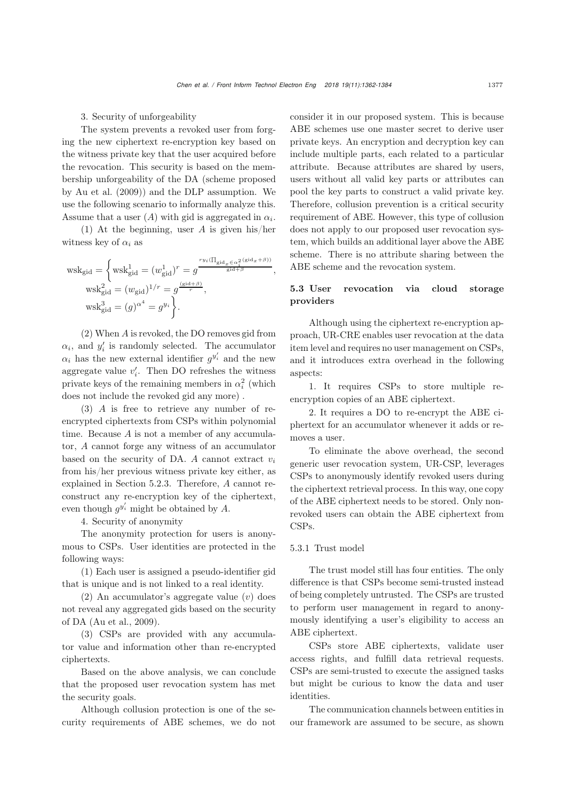3. Security of unforgeability

The system prevents a revoked user from forging the new ciphertext re-encryption key based on the witness private key that the user acquired before the revocation. This security is based on the membership unforgeability of the DA (scheme proposed by [Au et al.](#page-21-21) [\(2009\)](#page-21-21)) and the DLP assumption. We use the following scenario to informally analyze this. Assume that a user  $(A)$  with gid is aggregated in  $\alpha_i$ .

(1) At the beginning, user A is given his/her witness key of  $\alpha_i$  as

$$
\label{eq:wsk} \begin{aligned} \text{wsk}_{\text{gid}} &= \bigg\{ \text{wsk}_{\text{gid}}^1 = (w_{\text{gid}}^1)^r = g^{\frac{r y_i(\prod_{\text{gid}_x \in \alpha_i^2} (\text{sid}_x + \beta))}{\text{gid} + \beta}}, \\ \text{wsk}_{\text{gid}}^2 &= (w_{\text{gid}})^{1/r} = g^{\frac{(\text{gid}_x + \beta)}{r}}, \\ \text{wsk}_{\text{gid}}^3 &= (g)^{\alpha^4} = g^{y_i} \bigg\}. \end{aligned}
$$

(2) When A is revoked, the DO removes gid from  $\alpha_i$ , and  $y'_i$  is randomly selected. The accumulator  $\alpha_i$  has the new external identifier  $g^{y'_i}$  and the new aggregate value  $v_i'$ . Then DO refreshes the witness private keys of the remaining members in  $\alpha_i^2$  (which does not include the revoked gid any more) .

(3) A is free to retrieve any number of reencrypted ciphertexts from CSPs within polynomial time. Because A is not a member of any accumulator, A cannot forge any witness of an accumulator based on the security of DA. A cannot extract  $v_i$ from his/her previous witness private key either, as explained in Section [5.2.3.](#page-13-0) Therefore, A cannot reconstruct any re-encryption key of the ciphertext, even though  $g^{y_i}$  might be obtained by A.

4. Security of anonymity

The anonymity protection for users is anonymous to CSPs. User identities are protected in the following ways:

(1) Each user is assigned a pseudo-identifier gid that is unique and is not linked to a real identity.

 $(2)$  An accumulator's aggregate value  $(v)$  does not reveal any aggregated gids based on the security of DA [\(Au et al., 2009\)](#page-21-21).

(3) CSPs are provided with any accumulator value and information other than re-encrypted ciphertexts.

Based on the above analysis, we can conclude that the proposed user revocation system has met the security goals.

Although collusion protection is one of the security requirements of ABE schemes, we do not consider it in our proposed system. This is because ABE schemes use one master secret to derive user private keys. An encryption and decryption key can include multiple parts, each related to a particular attribute. Because attributes are shared by users, users without all valid key parts or attributes can pool the key parts to construct a valid private key. Therefore, collusion prevention is a critical security requirement of ABE. However, this type of collusion does not apply to our proposed user revocation system, which builds an additional layer above the ABE scheme. There is no attribute sharing between the ABE scheme and the revocation system.

## 5.3 User revocation via cloud storage providers

Although using the ciphertext re-encryption approach, UR-CRE enables user revocation at the data item level and requires no user management on CSPs, and it introduces extra overhead in the following aspects:

1. It requires CSPs to store multiple reencryption copies of an ABE ciphertext.

2. It requires a DO to re-encrypt the ABE ciphertext for an accumulator whenever it adds or removes a user.

To eliminate the above overhead, the second generic user revocation system, UR-CSP, leverages CSPs to anonymously identify revoked users during the ciphertext retrieval process. In this way, one copy of the ABE ciphertext needs to be stored. Only nonrevoked users can obtain the ABE ciphertext from CSPs.

#### 5.3.1 Trust model

The trust model still has four entities. The only difference is that CSPs become semi-trusted instead of being completely untrusted. The CSPs are trusted to perform user management in regard to anonymously identifying a user's eligibility to access an ABE ciphertext.

CSPs store ABE ciphertexts, validate user access rights, and fulfill data retrieval requests. CSPs are semi-trusted to execute the assigned tasks but might be curious to know the data and user identities.

The communication channels between entities in our framework are assumed to be secure, as shown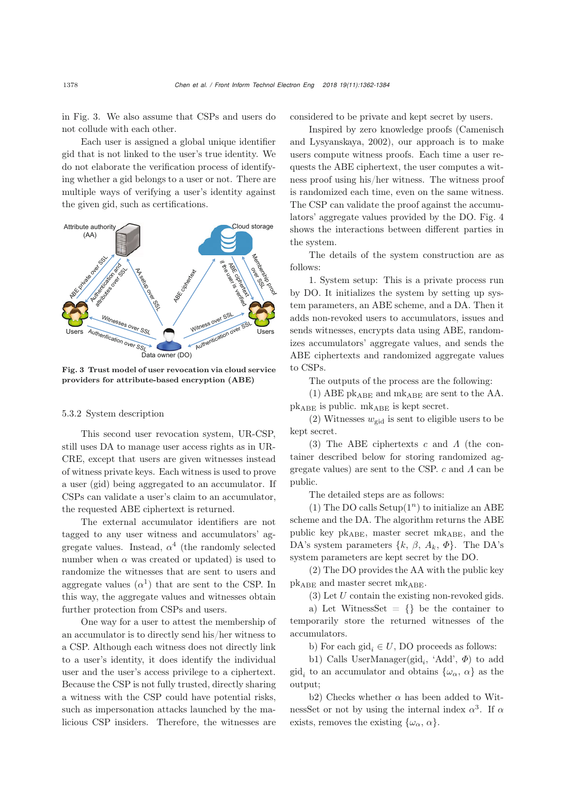in Fig. [3.](#page-16-0) We also assume that CSPs and users do not collude with each other.

Each user is assigned a global unique identifier gid that is not linked to the user's true identity. We do not elaborate the verification process of identifying whether a gid belongs to a user or not. There are multiple ways of verifying a user's identity against the given gid, such as certifications.



<span id="page-16-0"></span>Fig. 3 Trust model of user revocation via cloud service providers for attribute-based encryption (ABE)

#### 5.3.2 System description

This second user revocation system, UR-CSP, still uses DA to manage user access rights as in UR-CRE, except that users are given witnesses instead of witness private keys. Each witness is used to prove a user (gid) being aggregated to an accumulator. If CSPs can validate a user's claim to an accumulator, the requested ABE ciphertext is returned.

The external accumulator identifiers are not tagged to any user witness and accumulators' aggregate values. Instead,  $\alpha^4$  (the randomly selected number when  $\alpha$  was created or updated) is used to randomize the witnesses that are sent to users and aggregate values  $(\alpha^1)$  that are sent to the CSP. In this way, the aggregate values and witnesses obtain further protection from CSPs and users.

One way for a user to attest the membership of an accumulator is to directly send his/her witness to a CSP. Although each witness does not directly link to a user's identity, it does identify the individual user and the user's access privilege to a ciphertext. Because the CSP is not fully trusted, directly sharing a witness with the CSP could have potential risks, such as impersonation attacks launched by the malicious CSP insiders. Therefore, the witnesses are

considered to be private and kept secret by users.

Inspired by [zero](#page-21-20) [knowledge](#page-21-20) [proofs](#page-21-20) [\(](#page-21-20)Camenisch and Lysyanskaya, [2002\)](#page-21-20), our approach is to make users compute witness proofs. Each time a user requests the ABE ciphertext, the user computes a witness proof using his/her witness. The witness proof is randomized each time, even on the same witness. The CSP can validate the proof against the accumulators' aggregate values provided by the DO. Fig. [4](#page-17-0) shows the interactions between different parties in the system.

The details of the system construction are as follows:

1. System setup: This is a private process run by DO. It initializes the system by setting up system parameters, an ABE scheme, and a DA. Then it adds non-revoked users to accumulators, issues and sends witnesses, encrypts data using ABE, randomizes accumulators' aggregate values, and sends the ABE ciphertexts and randomized aggregate values to CSPs.

The outputs of the process are the following:

(1) ABE pk<sub>ABE</sub> and  $mk_{ABE}$  are sent to the AA. pkABE is public. mkABE is kept secret.

(2) Witnesses  $w_{\text{gid}}$  is sent to eligible users to be kept secret.

(3) The ABE ciphertexts c and  $\Lambda$  (the container described below for storing randomized aggregate values) are sent to the CSP.  $c$  and  $\Lambda$  can be public.

The detailed steps are as follows:

(1) The DO calls Setup $(1^n)$  to initialize an ABE scheme and the DA. The algorithm returns the ABE public key pk<sub>ABE</sub>, master secret mk<sub>ABE</sub>, and the DA's system parameters  $\{k, \beta, A_k, \Phi\}$ . The DA's system parameters are kept secret by the DO.

(2) The DO provides the AA with the public key pk<sub>ABE</sub> and master secret mk<sub>ABE</sub>.

(3) Let U contain the existing non-revoked gids.

a) Let WitnessSet  $= \{\}$  be the container to temporarily store the returned witnesses of the accumulators.

b) For each gid<sub>i</sub>  $\in U$ , DO proceeds as follows:

b1) Calls UserManager(gid<sub>i</sub>, 'Add',  $\Phi$ ) to add gid, to an accumulator and obtains  $\{\omega_{\alpha}, \alpha\}$  as the output;

b2) Checks whether  $\alpha$  has been added to WitnessSet or not by using the internal index  $\alpha^3$ . If  $\alpha$ exists, removes the existing  $\{\omega_{\alpha}, \alpha\}.$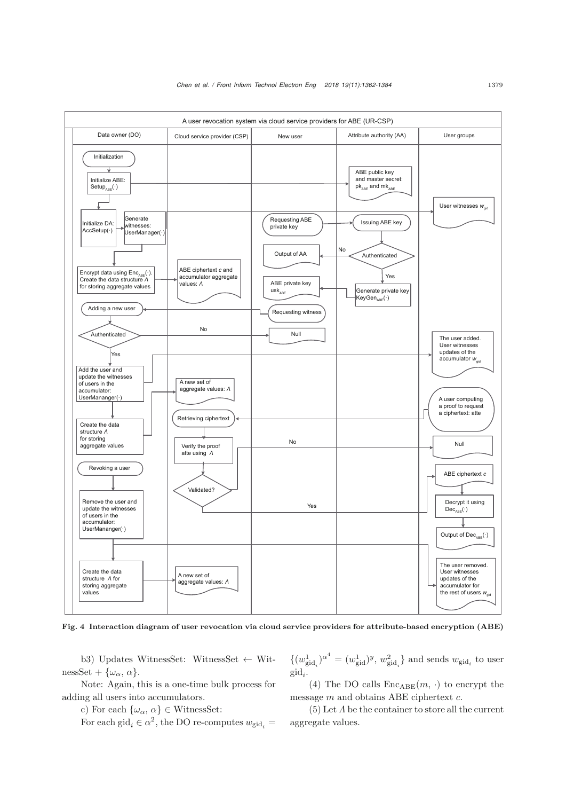

<span id="page-17-0"></span>Fig. 4 Interaction diagram of user revocation via cloud service providers for attribute-based encryption (ABE)

b3) Updates WitnessSet: WitnessSet ← WitnessSet +  $\{\omega_{\alpha}, \alpha\}.$ 

Note: Again, this is a one-time bulk process for adding all users into accumulators.

c) For each  $\{\omega_{\alpha}, \alpha\} \in \text{WitnessSet:}$ 

For each gid<sub>i</sub>  $\in \alpha^2$ , the DO re-computes  $w_{\text{gid}_i} =$ 

 $\{(w_{\rm gid_i}^1)^{\alpha^4}=(w_{\rm gid}^1)^y,\,w_{\rm gid_i}^2\}$  and sends  $w_{\rm gid_i}$  to user  $\text{gid}_i.$ 

(4) The DO calls  $Enc_{ABE}(m, \cdot)$  to encrypt the message  $m$  and obtains ABE ciphertext  $c$ .

 $(5)$  Let  $\Lambda$  be the container to store all the current aggregate values.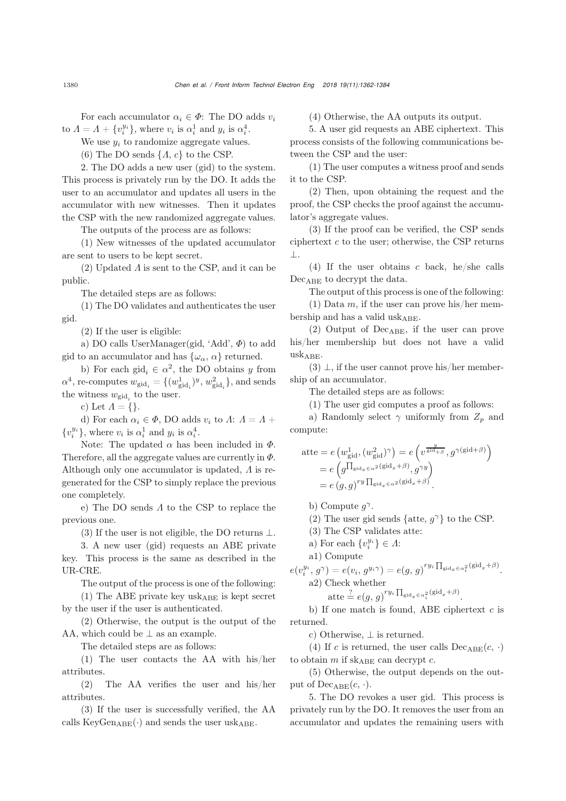For each accumulator  $\alpha_i \in \Phi$ : The DO adds  $v_i$ to  $\Lambda = \Lambda + \{v_i^{y_i}\}\$ , where  $v_i$  is  $\alpha_i^1$  and  $y_i$  is  $\alpha_i^4$ .

We use  $y_i$  to randomize aggregate values.

(6) The DO sends  $\{A, c\}$  to the CSP.

2. The DO adds a new user (gid) to the system. This process is privately run by the DO. It adds the user to an accumulator and updates all users in the accumulator with new witnesses. Then it updates the CSP with the new randomized aggregate values.

The outputs of the process are as follows:

(1) New witnesses of the updated accumulator are sent to users to be kept secret.

(2) Updated  $\Lambda$  is sent to the CSP, and it can be public.

The detailed steps are as follows:

(1) The DO validates and authenticates the user gid.

(2) If the user is eligible:

a) DO calls UserManager(gid, 'Add',  $\Phi$ ) to add gid to an accumulator and has  $\{\omega_{\alpha}, \alpha\}$  returned.

b) For each gid<sub>i</sub>  $\in \alpha^2$ , the DO obtains y from  $\alpha^4$ , re-computes  $w_{\text{gid}_i} = \{ (w_{\text{gid}_i}^1)^y, w_{\text{gid}_i}^2 \}$ , and sends the witness  $w_{\text{gid}_i}$  to the user.

c) Let  $\Lambda = \{\}.$ 

d) For each  $\alpha_i \in \Phi$ , DO adds  $v_i$  to  $\Lambda: \Lambda = \Lambda +$  $\{v_i^{y_i}\}\text{, where } v_i \text{ is } \alpha_i^1 \text{ and } y_i \text{ is } \alpha_i^4.$ 

Note: The updated  $\alpha$  has been included in  $\Phi$ . Therefore, all the aggregate values are currently in  $\Phi$ . Although only one accumulator is updated,  $\Lambda$  is regenerated for the CSP to simply replace the previous one completely.

e) The DO sends Λ to the CSP to replace the previous one.

(3) If the user is not eligible, the DO returns  $\perp$ .

3. A new user (gid) requests an ABE private key. This process is the same as described in the UR-CRE.

The output of the process is one of the following:

(1) The ABE private key usk $_{ABE}$  is kept secret by the user if the user is authenticated.

(2) Otherwise, the output is the output of the AA, which could be  $\perp$  as an example.

The detailed steps are as follows:

(1) The user contacts the AA with his/her attributes.

(2) The AA verifies the user and his/her attributes.

(3) If the user is successfully verified, the AA calls  $KeyGen_{ABE}(\cdot)$  and sends the user usk<sub>ABE</sub>.

(4) Otherwise, the AA outputs its output.

5. A user gid requests an ABE ciphertext. This process consists of the following communications between the CSP and the user:

(1) The user computes a witness proof and sends it to the CSP.

(2) Then, upon obtaining the request and the proof, the CSP checks the proof against the accumulator's aggregate values.

(3) If the proof can be verified, the CSP sends ciphertext  $c$  to the user; otherwise, the CSP returns ⊥.

(4) If the user obtains c back, he/she calls Dec<sub>ABE</sub> to decrypt the data.

The output of this process is one of the following:

(1) Data m, if the user can prove his/her membership and has a valid usk $_{ABE}$ .

(2) Output of Dec<sub>ABE</sub>, if the user can prove his/her membership but does not have a valid  $usk_{ABE}$ .

 $(3) \perp$ , if the user cannot prove his/her membership of an accumulator.

The detailed steps are as follows:

(1) The user gid computes a proof as follows:

a) Randomly select  $\gamma$  uniformly from  $Z_p$  and compute:

$$
atte = e \left( w_{\text{gid}}^1, (w_{\text{gid}}^2)^\gamma \right) = e \left( v^{\frac{y}{\text{gid}} + \beta}, g^{\gamma(\text{gid} + \beta)} \right)
$$
  
=  $e \left( g^{\prod_{\text{sid}_x \in \alpha^2} (\text{gid}_x + \beta)}, g^{\gamma y} \right)$   
=  $e(g, g)^{ry \prod_{\text{gid}_x \in \alpha^2} (\text{sid}_x + \beta)}$ .

b) Compute  $q^{\gamma}$ .

(2) The user gid sends {atte,  $g^{\gamma}$ } to the CSP.

- (3) The CSP validates atte:
- a) For each  $\{v_i^{y_i}\}\in \Lambda$ :

a1) Compute

$$
e(v_i^{y_i}, g^{\gamma}) = e(v_i, g^{y_i \gamma}) = e(g, g)^{ry_i \prod_{\text{gid}_x \in \alpha_i^2} (\text{gid}_x + \beta)}.
$$
  
a2) Check whether

$$
\text{atte} \stackrel{?}{=} e(g, g)^{ry_i} \prod_{\text{gid}_x \in \alpha_i^2} (\text{gid}_x + \beta).
$$

b) If one match is found, ABE ciphertext  $c$  is returned.

c) Otherwise,  $\perp$  is returned.

(4) If c is returned, the user calls  $Dec_{ABE}(c, \cdot)$ to obtain  $m$  if  $sk_{ABE}$  can decrypt  $c$ .

(5) Otherwise, the output depends on the output of  $Dec_{ABE}(c, \cdot)$ .

5. The DO revokes a user gid. This process is privately run by the DO. It removes the user from an accumulator and updates the remaining users with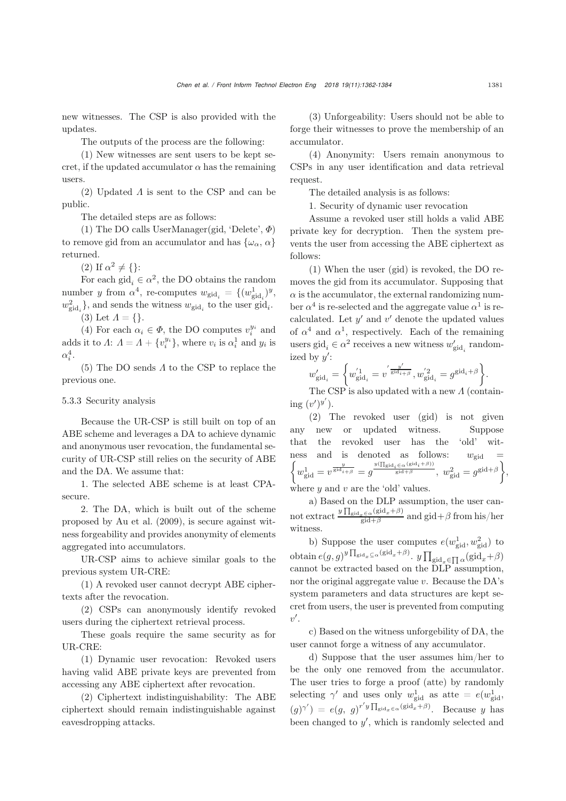new witnesses. The CSP is also provided with the updates.

The outputs of the process are the following:

(1) New witnesses are sent users to be kept secret, if the updated accumulator  $\alpha$  has the remaining users.

(2) Updated  $\Lambda$  is sent to the CSP and can be public.

The detailed steps are as follows:

(1) The DO calls UserManager(gid, 'Delete', Φ) to remove gid from an accumulator and has  $\{\omega_{\alpha}, \alpha\}$ returned.

(2) If  $\alpha^2 \neq \{\}$ :

For each gid<sub>i</sub>  $\in \alpha^2$ , the DO obtains the random number y from  $\alpha^4$ , re-computes  $w_{\text{gid}_i} = \{ (w_{\text{gid}_i}^1)^y,$  $w_{\text{gid}_i}^2$ , and sends the witness  $w_{\text{gid}_i}$  to the user  $\text{gid}_i$ . (3) Let  $\Lambda = \{\}.$ 

(4) For each  $\alpha_i \in \Phi$ , the DO computes  $v_i^{y_i}$  and adds it to  $\Lambda: \Lambda = \Lambda + \{v_i^{y_i}\}\text{, where } v_i \text{ is } \alpha_i^1 \text{ and } y_i \text{ is }$  $\alpha_i^4$ .

(5) The DO sends Λ to the CSP to replace the previous one.

#### 5.3.3 Security analysis

Because the UR-CSP is still built on top of an ABE scheme and leverages a DA to achieve dynamic and anonymous user revocation, the fundamental security of UR-CSP still relies on the security of ABE and the DA. We assume that:

1. The selected ABE scheme is at least CPAsecure.

2. The DA, which is built out of the scheme proposed by [Au et al.](#page-21-21) [\(2009](#page-21-21)), is secure against witness forgeability and provides anonymity of elements aggregated into accumulators.

UR-CSP aims to achieve similar goals to the previous system UR-CRE:

(1) A revoked user cannot decrypt ABE ciphertexts after the revocation.

(2) CSPs can anonymously identify revoked users during the ciphertext retrieval process.

These goals require the same security as for UR-CRE:

(1) Dynamic user revocation: Revoked users having valid ABE private keys are prevented from accessing any ABE ciphertext after revocation.

(2) Ciphertext indistinguishability: The ABE ciphertext should remain indistinguishable against eavesdropping attacks.

(3) Unforgeability: Users should not be able to forge their witnesses to prove the membership of an accumulator.

(4) Anonymity: Users remain anonymous to CSPs in any user identification and data retrieval request.

The detailed analysis is as follows:

1. Security of dynamic user revocation

Assume a revoked user still holds a valid ABE private key for decryption. Then the system prevents the user from accessing the ABE ciphertext as follows:

(1) When the user (gid) is revoked, the DO removes the gid from its accumulator. Supposing that  $\alpha$  is the accumulator, the external randomizing number  $\alpha^4$  is re-selected and the aggregate value  $\alpha^1$  is recalculated. Let  $y'$  and  $v'$  denote the updated values of  $\alpha^4$  and  $\alpha^1$ , respectively. Each of the remaining users gid $_i \in \alpha^2$  receives a new witness  $w'_{\text{gid}_i}$  randomized by  $y'$ :

$$
w'_{\text{gid}_i} = \left\{ w'_{\text{gid}_i} = v^{'} \frac{y'}{\text{sid}_{i+\beta}}, w'_{\text{gid}_i}^2 = g^{\text{gid}_i + \beta} \right\}.
$$

The CSP is also updated with a new Λ (containing  $(v')^{y'}$ ).

(2) The revoked user (gid) is not given any new or updated witness. Suppose that the revoked user has the 'old' witness and is denoted as follows:  $w_{\text{gid}} =$  $\left\{w_{\text{gid}}^1=v^{\frac{y}{\text{sid}_i+\beta}}=g^{\frac{y(\prod_{\text{gid}_i\in\alpha(\text{sid}_i+\beta))}}{\text{gid}+\beta}},\ w_{\text{gid}}^2=g^{\text{sid}+\beta}\right\},\$ where  $y$  and  $v$  are the 'old' values.

a) Based on the DLP assumption, the user cannot extract  $\frac{y \prod_{\text{gid}_x \in \alpha} (\text{gid}_x + \beta)}{\text{gid} + \beta}$  and  $\text{gid} + \beta$  from his/her witness.

b) Suppose the user computes  $e(w_{\text{gid}}^1, w_{\text{gid}}^2)$  to obtain  $e(g,g)^{y\prod_{\text{gid}_x\subseteq\alpha}(\text{gid}_x+\beta)}$ .  $y\prod_{\text{gid}_x\in\prod\alpha}(\text{gid}_x+\beta)$ cannot be extracted based on the DLP assumption, nor the original aggregate value  $v$ . Because the DA's system parameters and data structures are kept secret from users, the user is prevented from computing  $v'.$ 

c) Based on the witness unforgebility of DA, the user cannot forge a witness of any accumulator.

d) Suppose that the user assumes him/her to be the only one removed from the accumulator. The user tries to forge a proof (atte) by randomly selecting  $\gamma'$  and uses only  $w_{\text{gid}}^1$  as atte =  $e(w_{\text{gid}}^1,$  $(g)^{\gamma'}$ ) =  $e(g, g)^{r'y \prod_{\text{gid}_x \in \alpha} (\text{gid}_x + \beta)}$ . Because y has been changed to  $y'$ , which is randomly selected and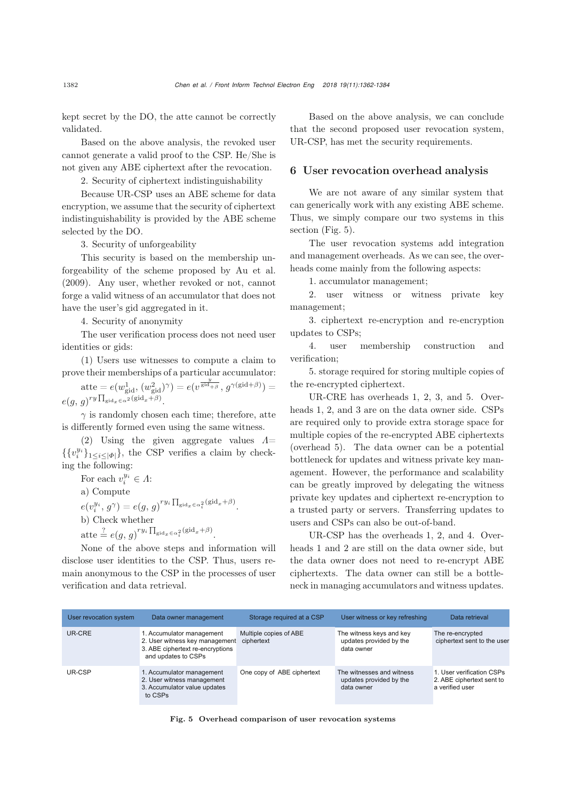kept secret by the DO, the atte cannot be correctly validated.

Based on the above analysis, the revoked user cannot generate a valid proof to the CSP. He/She is not given any ABE ciphertext after the revocation.

2. Security of ciphertext indistinguishability

Because UR-CSP uses an ABE scheme for data encryption, we assume that the security of ciphertext indistinguishability is provided by the ABE scheme selected by the DO.

3. Security of unforgeability

This security is based on the membership unforgeability of the scheme proposed by [Au et al.](#page-21-21) [\(2009](#page-21-21)). Any user, whether revoked or not, cannot forge a valid witness of an accumulator that does not have the user's gid aggregated in it.

4. Security of anonymity

The user verification process does not need user identities or gids:

(1) Users use witnesses to compute a claim to prove their memberships of a particular accumulator:

 $\text{atte} = e(w_{\text{gid}}^1, (w_{\text{gid}}^2)^\gamma) = e(v^{\frac{y}{\text{gid}+\beta}}, g^{\gamma(\text{gid}+\beta)}) =$  $e(g, g)^{ry\prod_{\text{gid}_x \in \alpha^2}(\text{gid}_x+\beta)}.$ 

 $\gamma$  is randomly chosen each time; therefore, atte is differently formed even using the same witness.

(2) Using the given aggregate values  $Λ=$  $\{\{v_i^{y_i}\}_{1\leq i\leq |\Phi|}\},\,$  the CSP verifies a claim by checking the following:

For each  $v_i^{y_i} \in \Lambda$ : a) Compute  $e(v_i^{y_i}, g^{\gamma}) = e(g, g)^{r y_i \prod_{\text{gid}_x \in \alpha_i^2} (\text{gid}_x + \beta)}.$ b) Check whether atte  $\stackrel{?}{=} e(g, g)^{ry_i} \prod_{\text{gid}_x \in \alpha_i^2} (\text{gid}_x + \beta).$ 

None of the above steps and information will disclose user identities to the CSP. Thus, users remain anonymous to the CSP in the processes of user verification and data retrieval.

Based on the above analysis, we can conclude that the second proposed user revocation system, UR-CSP, has met the security requirements.

## 6 User revocation overhead analysis

We are not aware of any similar system that can generically work with any existing ABE scheme. Thus, we simply compare our two systems in this section (Fig. [5\)](#page-20-0).

The user revocation systems add integration and management overheads. As we can see, the overheads come mainly from the following aspects:

1. accumulator management;

2. user witness or witness private key management;

3. ciphertext re-encryption and re-encryption updates to CSPs;

4. user membership construction and verification;

5. storage required for storing multiple copies of the re-encrypted ciphertext.

UR-CRE has overheads 1, 2, 3, and 5. Overheads 1, 2, and 3 are on the data owner side. CSPs are required only to provide extra storage space for multiple copies of the re-encrypted ABE ciphertexts (overhead 5). The data owner can be a potential bottleneck for updates and witness private key management. However, the performance and scalability can be greatly improved by delegating the witness private key updates and ciphertext re-encryption to a trusted party or servers. Transferring updates to users and CSPs can also be out-of-band.

UR-CSP has the overheads 1, 2, and 4. Overheads 1 and 2 are still on the data owner side, but the data owner does not need to re-encrypt ABE ciphertexts. The data owner can still be a bottleneck in managing accumulators and witness updates.

| User revocation system | Data owner management                                                                                                  | Storage required at a CSP            | User witness or key refreshing                                     | Data retrieval                                                            |
|------------------------|------------------------------------------------------------------------------------------------------------------------|--------------------------------------|--------------------------------------------------------------------|---------------------------------------------------------------------------|
| UR-CRE                 | 1. Accumulator management<br>2. User witness key management<br>3. ABE ciphertext re-encryptions<br>and updates to CSPs | Multiple copies of ABE<br>ciphertext | The witness keys and key<br>updates provided by the<br>data owner  | The re-encrypted<br>ciphertext sent to the user                           |
| UR-CSP                 | 1. Accumulator management<br>2. User witness management<br>3. Accumulator value updates<br>to CSPs                     | One copy of ABE ciphertext           | The witnesses and witness<br>updates provided by the<br>data owner | 1. User verification CSPs<br>2. ABE ciphertext sent to<br>a verified user |

<span id="page-20-0"></span>Fig. 5 Overhead comparison of user revocation systems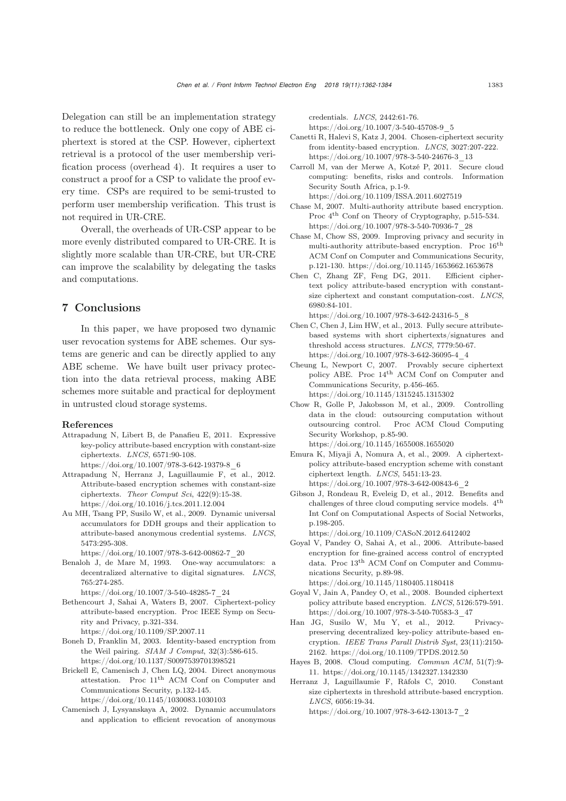Delegation can still be an implementation strategy to reduce the bottleneck. Only one copy of ABE ciphertext is stored at the CSP. However, ciphertext retrieval is a protocol of the user membership verification process (overhead 4). It requires a user to construct a proof for a CSP to validate the proof every time. CSPs are required to be semi-trusted to perform user membership verification. This trust is not required in UR-CRE.

Overall, the overheads of UR-CSP appear to be more evenly distributed compared to UR-CRE. It is slightly more scalable than UR-CRE, but UR-CRE can improve the scalability by delegating the tasks and computations.

# 7 Conclusions

In this paper, we have proposed two dynamic user revocation systems for ABE schemes. Our systems are generic and can be directly applied to any ABE scheme. We have built user privacy protection into the data retrieval process, making ABE schemes more suitable and practical for deployment in untrusted cloud storage systems.

#### References

- <span id="page-21-12"></span>Attrapadung N, Libert B, de Panafieu E, 2011. Expressive key-policy attribute-based encryption with constant-size ciphertexts. *LNCS*, 6571:90-108. https://doi.org/10.1007/978-3-642-19379-8\_6
- <span id="page-21-15"></span>Attrapadung N, Herranz J, Laguillaumie F, et al., 2012. Attribute-based encryption schemes with constant-size ciphertexts. *Theor Comput Sci*, 422(9):15-38. https://doi.org/10.1016/j.tcs.2011.12.004
- <span id="page-21-21"></span>Au MH, Tsang PP, Susilo W, et al., 2009. Dynamic universal accumulators for DDH groups and their application to attribute-based anonymous credential systems. *LNCS*, 5473:295-308.

https://doi.org/10.1007/978-3-642-00862-7\_20

<span id="page-21-19"></span>Benaloh J, de Mare M, 1993. One-way accumulators: a decentralized alternative to digital signatures. *LNCS*, 765:274-285.

https://doi.org/10.1007/3-540-48285-7\_24

- <span id="page-21-6"></span>Bethencourt J, Sahai A, Waters B, 2007. Ciphertext-policy attribute-based encryption. Proc IEEE Symp on Security and Privacy, p.321-334. https://doi.org/10.1109/SP.2007.11
- <span id="page-21-4"></span>Boneh D, Franklin M, 2003. Identity-based encryption from the Weil pairing. *SIAM J Comput*, 32(3):586-615. https://doi.org/10.1137/S0097539701398521

<span id="page-21-22"></span>Brickell E, Camenisch J, Chen LQ, 2004. Direct anonymous attestation. Proc 11th ACM Conf on Computer and Communications Security, p.132-145. https://doi.org/10.1145/1030083.1030103

<span id="page-21-20"></span>Camenisch J, Lysyanskaya A, 2002. Dynamic accumulators and application to efficient revocation of anonymous credentials. *LNCS*, 2442:61-76.

https://doi.org/10.1007/3-540-45708-9\_5

- <span id="page-21-9"></span>Canetti R, Halevi S, Katz J, 2004. Chosen-ciphertext security from identity-based encryption. *LNCS*, 3027:207-222. https://doi.org/10.1007/978-3-540-24676-3\_13
- <span id="page-21-1"></span>Carroll M, van der Merwe A, Kotzé P, 2011. Secure cloud computing: benefits, risks and controls. Information Security South Africa, p.1-9.
- https://doi.org/10.1109/ISSA.2011.6027519 Chase M, 2007. Multi-authority attribute based encryption.
- <span id="page-21-16"></span>Proc  $4<sup>th</sup>$  Conf on Theory of Cryptography, p.515-534. https://doi.org/10.1007/978-3-540-70936-7\_28
- <span id="page-21-17"></span>Chase M, Chow SS, 2009. Improving privacy and security in multi-authority attribute-based encryption. Proc 16th ACM Conf on Computer and Communications Security, p.121-130. https://doi.org/10.1145/1653662.1653678
- <span id="page-21-14"></span>Chen C, Zhang ZF, Feng DG, 2011. Efficient ciphertext policy attribute-based encryption with constantsize ciphertext and constant computation-cost. *LNCS*, 6980:84-101.

https://doi.org/10.1007/978-3-642-24316-5\_8

- <span id="page-21-13"></span>Chen C, Chen J, Lim HW, et al., 2013. Fully secure attributebased systems with short ciphertexts/signatures and threshold access structures. *LNCS*, 7779:50-67. https://doi.org/10.1007/978-3-642-36095-4\_4
- <span id="page-21-8"></span>Cheung L, Newport C, 2007. Provably secure ciphertext policy ABE. Proc 14th ACM Conf on Computer and Communications Security, p.456-465. https://doi.org/10.1145/1315245.1315302
- <span id="page-21-3"></span>Chow R, Golle P, Jakobsson M, et al., 2009. Controlling data in the cloud: outsourcing computation without outsourcing control. Proc ACM Cloud Computing Security Workshop, p.85-90. https://doi.org/10.1145/1655008.1655020
- <span id="page-21-10"></span>Emura K, Miyaji A, Nomura A, et al., 2009. A ciphertextpolicy attribute-based encryption scheme with constant ciphertext length. *LNCS*, 5451:13-23. https://doi.org/10.1007/978-3-642-00843-6\_2
- <span id="page-21-2"></span>Gibson J, Rondeau R, Eveleig D, et al., 2012. Benefits and challenges of three cloud computing service models. 4th Int Conf on Computational Aspects of Social Networks, p.198-205.

https://doi.org/10.1109/CASoN.2012.6412402

<span id="page-21-5"></span>Goyal V, Pandey O, Sahai A, et al., 2006. Attribute-based encryption for fine-grained access control of encrypted data. Proc 13th ACM Conf on Computer and Communications Security, p.89-98.

https://doi.org/10.1145/1180405.1180418

- <span id="page-21-7"></span>Goyal V, Jain A, Pandey O, et al., 2008. Bounded ciphertext policy attribute based encryption. *LNCS*, 5126:579-591. https://doi.org/10.1007/978-3-540-70583-3\_47
- <span id="page-21-18"></span>Han JG, Susilo W, Mu Y, et al., 2012. Privacypreserving decentralized key-policy attribute-based encryption. *IEEE Trans Parall Distrib Syst*, 23(11):2150- 2162. https://doi.org/10.1109/TPDS.2012.50
- <span id="page-21-0"></span>Hayes B, 2008. Cloud computing. *Commun ACM*, 51(7):9- 11. https://doi.org/10.1145/1342327.1342330
- <span id="page-21-11"></span>Herranz J, Laguillaumie F, Ràfols C, 2010. Constant size ciphertexts in threshold attribute-based encryption. *LNCS*, 6056:19-34.

https://doi.org/10.1007/978-3-642-13013-7\_2